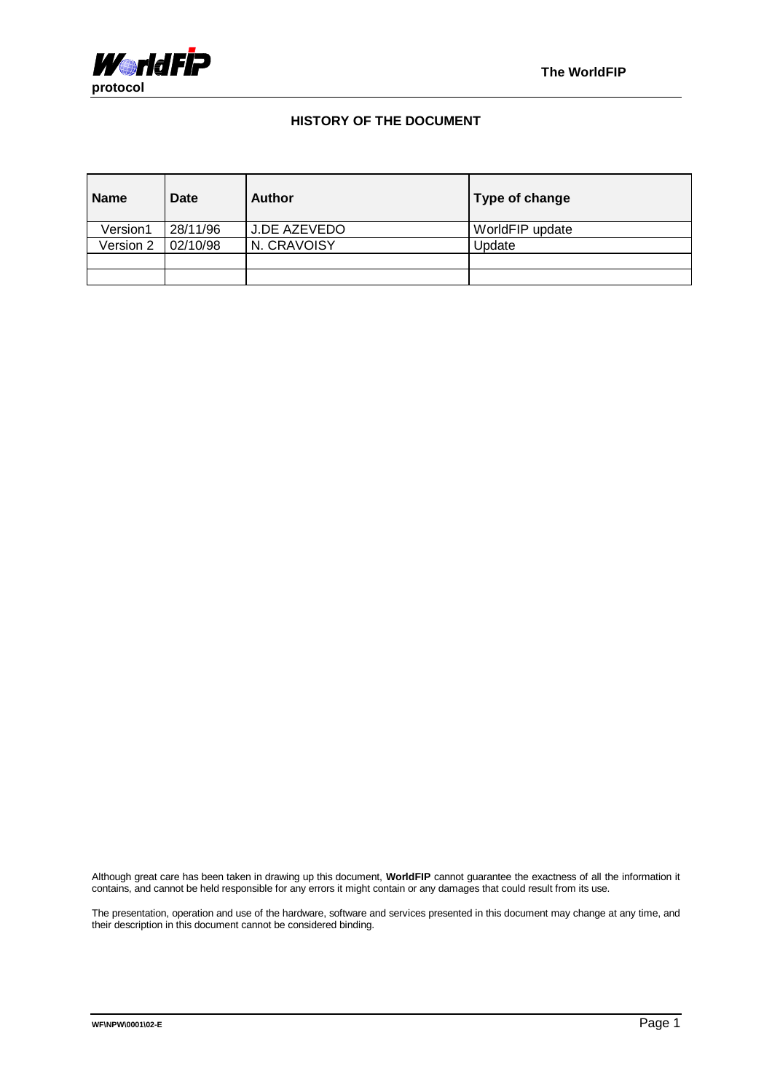

#### **HISTORY OF THE DOCUMENT**

| <b>Name</b> | <b>Date</b> | <b>Author</b> | Type of change  |
|-------------|-------------|---------------|-----------------|
| Version1    | 28/11/96    | J.DE AZEVEDO  | WorldFIP update |
| Version 2   | 02/10/98    | N. CRAVOISY   | Update          |
|             |             |               |                 |
|             |             |               |                 |

Although great care has been taken in drawing up this document, **WorldFIP** cannot guarantee the exactness of all the information it contains, and cannot be held responsible for any errors it might contain or any damages that could result from its use.

The presentation, operation and use of the hardware, software and services presented in this document may change at any time, and their description in this document cannot be considered binding.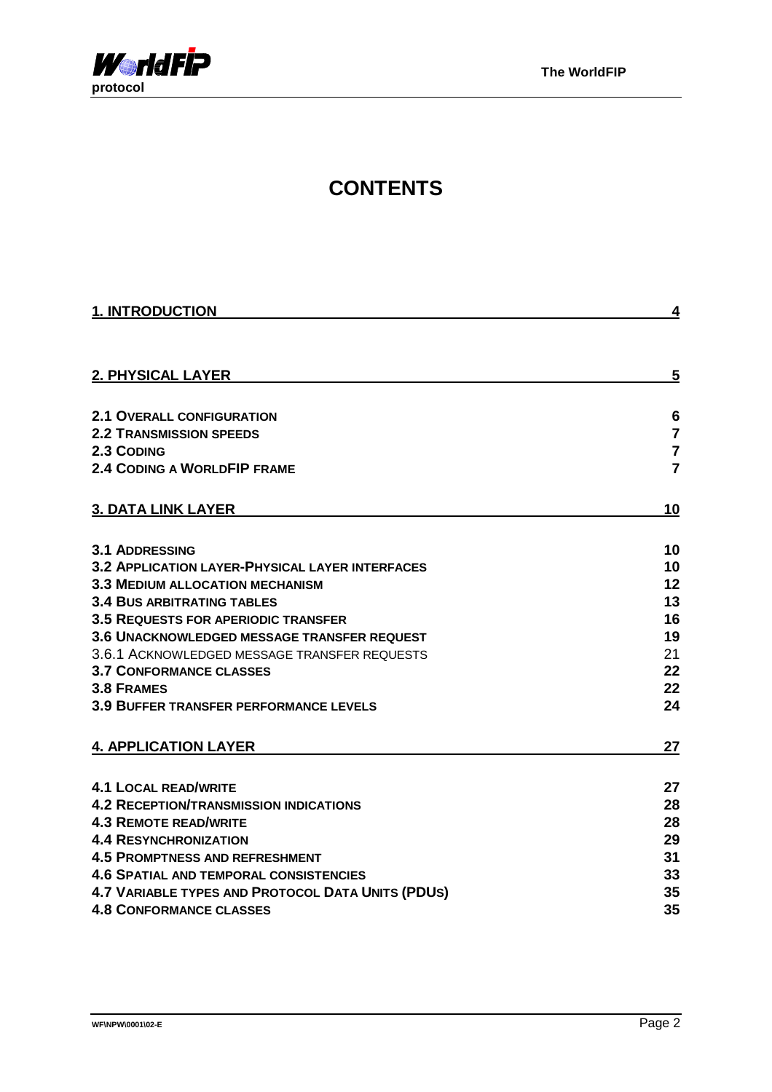

# **CONTENTS**

| <b>1. INTRODUCTION</b>                             | 4              |
|----------------------------------------------------|----------------|
|                                                    |                |
| 2. PHYSICAL LAYER                                  | 5              |
| <b>2.1 OVERALL CONFIGURATION</b>                   | 6              |
| <b>2.2 TRANSMISSION SPEEDS</b>                     | $\overline{7}$ |
| 2.3 CODING                                         | $\overline{7}$ |
| <b>2.4 CODING A WORLDFIP FRAME</b>                 | $\overline{7}$ |
| <b>3. DATA LINK LAYER</b>                          | 10             |
| <b>3.1 ADDRESSING</b>                              | 10             |
| 3.2 APPLICATION LAYER-PHYSICAL LAYER INTERFACES    | 10             |
| <b>3.3 MEDIUM ALLOCATION MECHANISM</b>             | 12             |
| <b>3.4 BUS ARBITRATING TABLES</b>                  | 13             |
| <b>3.5 REQUESTS FOR APERIODIC TRANSFER</b>         | 16             |
| <b>3.6 UNACKNOWLEDGED MESSAGE TRANSFER REQUEST</b> | 19             |
| 3.6.1 ACKNOWLEDGED MESSAGE TRANSFER REQUESTS       | 21             |
| <b>3.7 CONFORMANCE CLASSES</b>                     | 22             |
| 3.8 FRAMES                                         | 22             |
| 3.9 BUFFER TRANSFER PERFORMANCE LEVELS             | 24             |
| <b>4. APPLICATION LAYER</b>                        | 27             |
| <b>4.1 LOCAL READ/WRITE</b>                        | 27             |
| <b>4.2 RECEPTION/TRANSMISSION INDICATIONS</b>      | 28             |
| <b>4.3 REMOTE READ/WRITE</b>                       | 28             |
| <b>4.4 RESYNCHRONIZATION</b>                       | 29             |
| <b>4.5 PROMPTNESS AND REFRESHMENT</b>              | 31             |
| <b>4.6 SPATIAL AND TEMPORAL CONSISTENCIES</b>      | 33             |
| 4.7 VARIABLE TYPES AND PROTOCOL DATA UNITS (PDUS)  | 35             |
| <b>4.8 CONFORMANCE CLASSES</b>                     | 35             |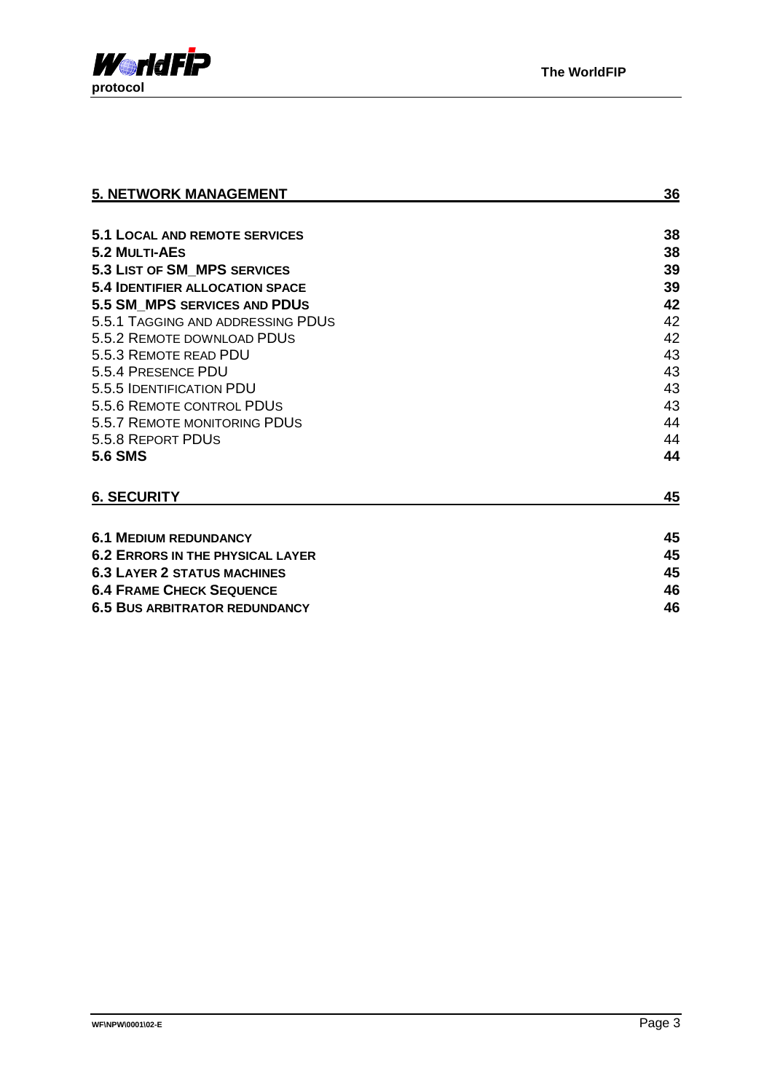

| <b>5. NETWORK MANAGEMENT</b>            | 36 |
|-----------------------------------------|----|
|                                         |    |
| 5.1 LOCAL AND REMOTE SERVICES           | 38 |
| 5.2 MULTI-AES                           | 38 |
| 5.3 LIST OF SM_MPS SERVICES             | 39 |
| <b>5.4 IDENTIFIER ALLOCATION SPACE</b>  | 39 |
| 5.5 SM MPS SERVICES AND PDUS            | 42 |
| 5.5.1 TAGGING AND ADDRESSING PDUS       | 42 |
| 5.5.2 REMOTE DOWNLOAD PDUS              | 42 |
| 5.5.3 REMOTE READ PDU                   | 43 |
| 5.5.4 PRESENCE PDU                      | 43 |
| 5.5.5 IDENTIFICATION PDU                | 43 |
| 5.5.6 REMOTE CONTROL PDUS               | 43 |
| 5.5.7 REMOTE MONITORING PDUS            | 44 |
| 5.5.8 REPORT PDUS                       | 44 |
| <b>5.6 SMS</b>                          | 44 |
| <b>6. SECURITY</b>                      | 45 |
|                                         |    |
| <b>6.1 MEDIUM REDUNDANCY</b>            | 45 |
| <b>6.2 ERRORS IN THE PHYSICAL LAYER</b> | 45 |
| <b>6.3 LAYER 2 STATUS MACHINES</b>      | 45 |
| <b>6.4 FRAME CHECK SEQUENCE</b>         | 46 |
| <b>6.5 BUS ARBITRATOR REDUNDANCY</b>    | 46 |
|                                         |    |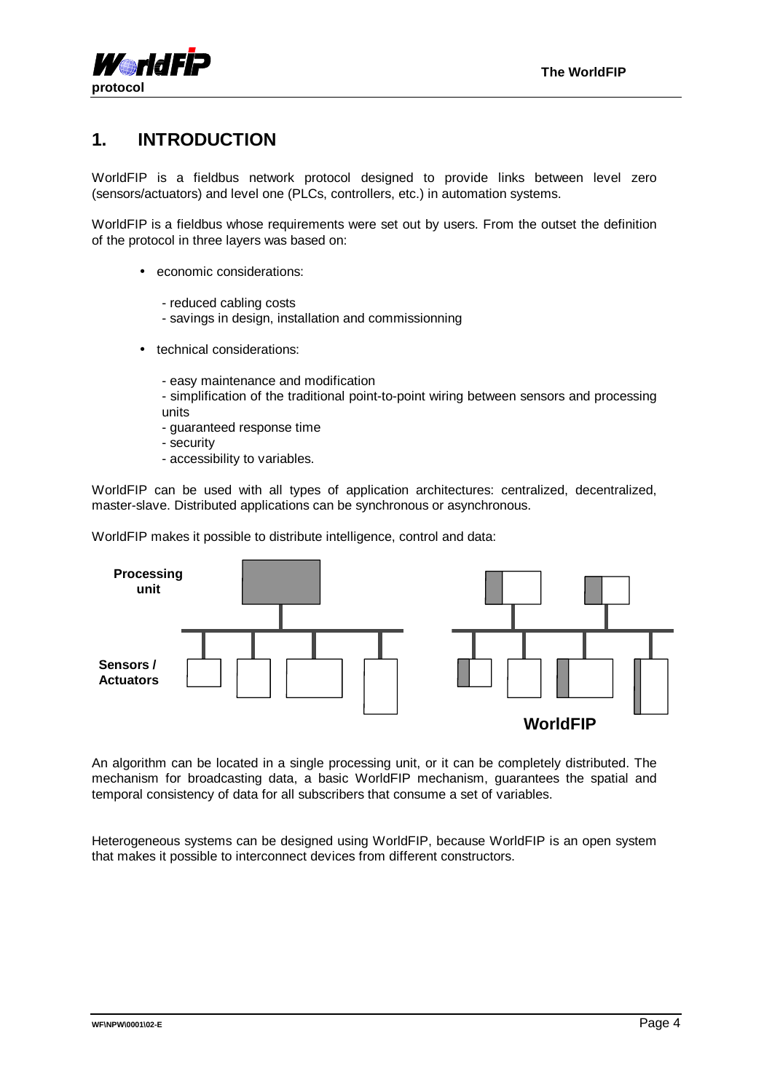

## **1. INTRODUCTION**

WorldFIP is a fieldbus network protocol designed to provide links between level zero (sensors/actuators) and level one (PLCs, controllers, etc.) in automation systems.

WorldFIP is a fieldbus whose requirements were set out by users. From the outset the definition of the protocol in three layers was based on:

- economic considerations:
	- reduced cabling costs
	- savings in design, installation and commissionning
- technical considerations:
	- easy maintenance and modification
	- simplification of the traditional point-to-point wiring between sensors and processing units
	- guaranteed response time
	- security
	- accessibility to variables.

WorldFIP can be used with all types of application architectures: centralized, decentralized, master-slave. Distributed applications can be synchronous or asynchronous.

WorldFIP makes it possible to distribute intelligence, control and data:



An algorithm can be located in a single processing unit, or it can be completely distributed. The mechanism for broadcasting data, a basic WorldFIP mechanism, guarantees the spatial and temporal consistency of data for all subscribers that consume a set of variables.

Heterogeneous systems can be designed using WorldFIP, because WorldFIP is an open system that makes it possible to interconnect devices from different constructors.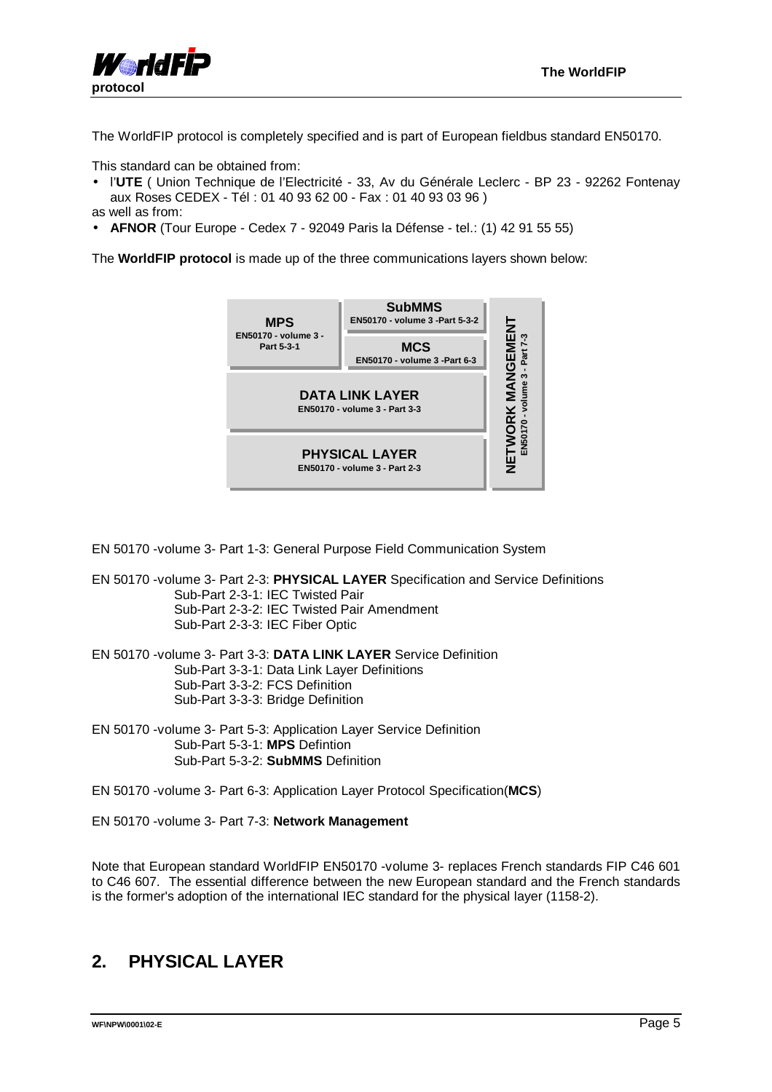

The WorldFIP protocol is completely specified and is part of European fieldbus standard EN50170.

This standard can be obtained from:

- l'**UTE** ( Union Technique de l'Electricité 33, Av du Générale Leclerc BP 23 92262 Fontenay aux Roses CEDEX - Tél : 01 40 93 62 00 - Fax : 01 40 93 03 96 ) as well as from:
- **AFNOR** (Tour Europe Cedex 7 92049 Paris la Défense tel.: (1) 42 91 55 55)

The **WorldFIP protocol** is made up of the three communications layers shown below:



EN 50170 -volume 3- Part 1-3: General Purpose Field Communication System

- EN 50170 -volume 3- Part 2-3: **PHYSICAL LAYER** Specification and Service Definitions Sub-Part 2-3-1: IEC Twisted Pair Sub-Part 2-3-2: IEC Twisted Pair Amendment Sub-Part 2-3-3: IEC Fiber Optic
- EN 50170 -volume 3- Part 3-3: **DATA LINK LAYER** Service Definition Sub-Part 3-3-1: Data Link Layer Definitions Sub-Part 3-3-2: FCS Definition Sub-Part 3-3-3: Bridge Definition
- EN 50170 -volume 3- Part 5-3: Application Layer Service Definition Sub-Part 5-3-1: **MPS** Defintion Sub-Part 5-3-2: **SubMMS** Definition

EN 50170 -volume 3- Part 6-3: Application Layer Protocol Specification(**MCS**)

EN 50170 -volume 3- Part 7-3: **Network Management**

Note that European standard WorldFIP EN50170 -volume 3- replaces French standards FIP C46 601 to C46 607. The essential difference between the new European standard and the French standards is the former's adoption of the international IEC standard for the physical layer (1158-2).

## **2. PHYSICAL LAYER**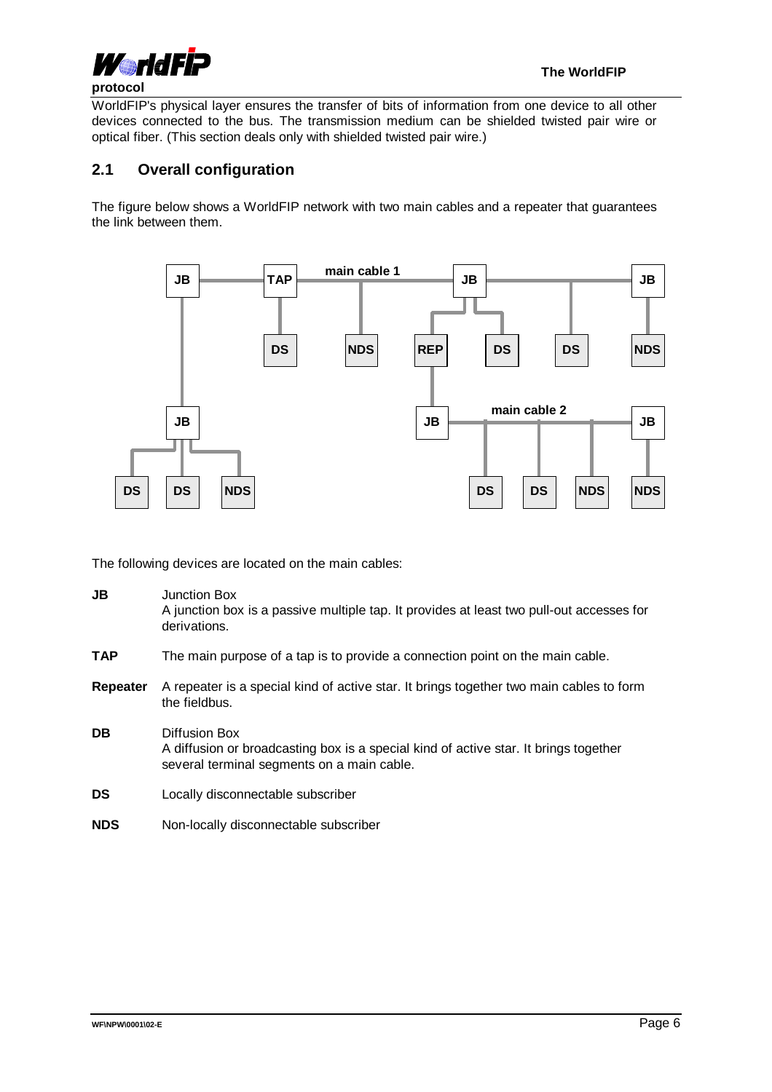

WorldFIP's physical layer ensures the transfer of bits of information from one device to all other devices connected to the bus. The transmission medium can be shielded twisted pair wire or optical fiber. (This section deals only with shielded twisted pair wire.)

## **2.1 Overall configuration**

The figure below shows a WorldFIP network with two main cables and a repeater that guarantees the link between them.



The following devices are located on the main cables:

- **JB** Junction Box A junction box is a passive multiple tap. It provides at least two pull-out accesses for derivations.
- **TAP** The main purpose of a tap is to provide a connection point on the main cable.
- **Repeater** A repeater is a special kind of active star. It brings together two main cables to form the fieldbus.
- **DB** Diffusion Box A diffusion or broadcasting box is a special kind of active star. It brings together several terminal segments on a main cable.
- **DS** Locally disconnectable subscriber
- **NDS** Non-locally disconnectable subscriber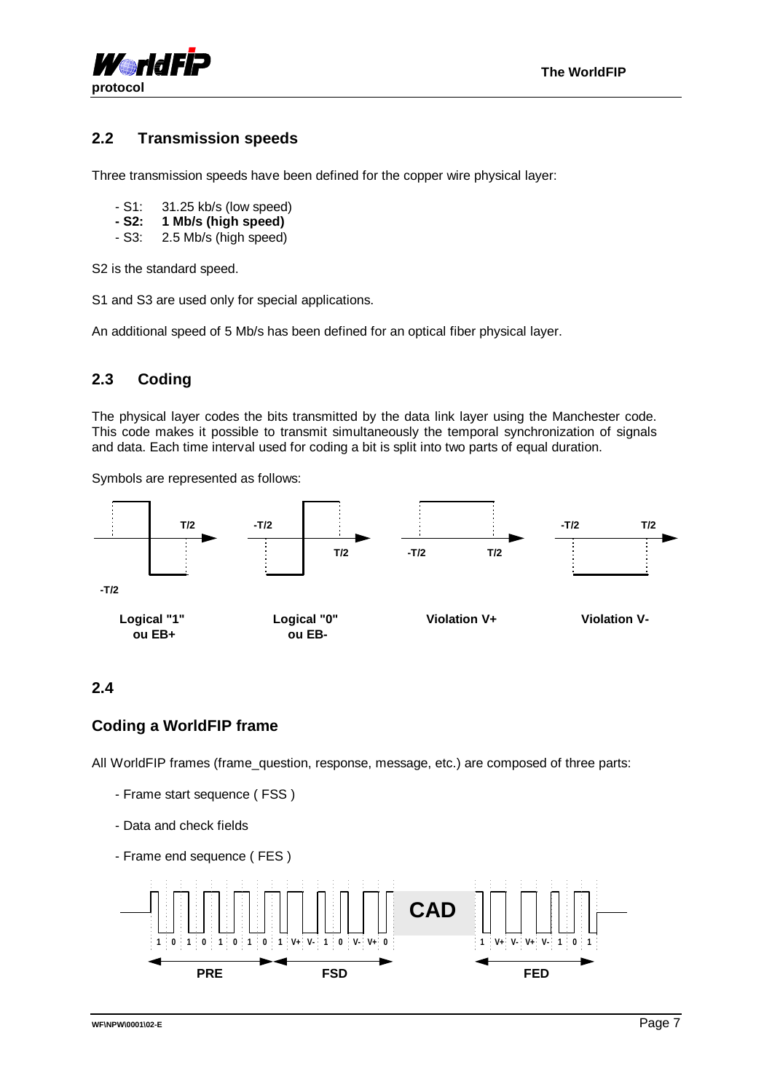

### **2.2 Transmission speeds**

Three transmission speeds have been defined for the copper wire physical layer:

- S1: 31.25 kb/s (low speed)
- **S2: 1 Mb/s (high speed)**
- S3: 2.5 Mb/s (high speed)

S2 is the standard speed.

S1 and S3 are used only for special applications.

An additional speed of 5 Mb/s has been defined for an optical fiber physical layer.

## **2.3 Coding**

The physical layer codes the bits transmitted by the data link layer using the Manchester code. This code makes it possible to transmit simultaneously the temporal synchronization of signals and data. Each time interval used for coding a bit is split into two parts of equal duration.

Symbols are represented as follows:



## **2.4**

### **Coding a WorldFIP frame**

All WorldFIP frames (frame\_question, response, message, etc.) are composed of three parts:

- Frame start sequence ( FSS )
- Data and check fields
- Frame end sequence ( FES )

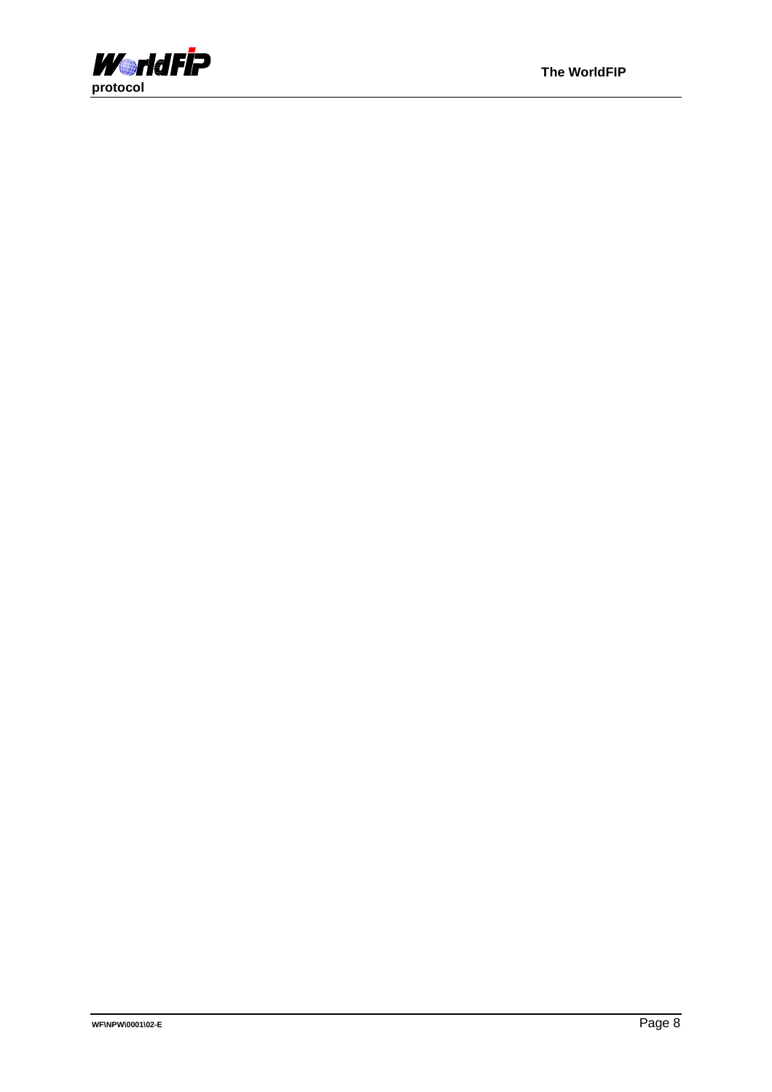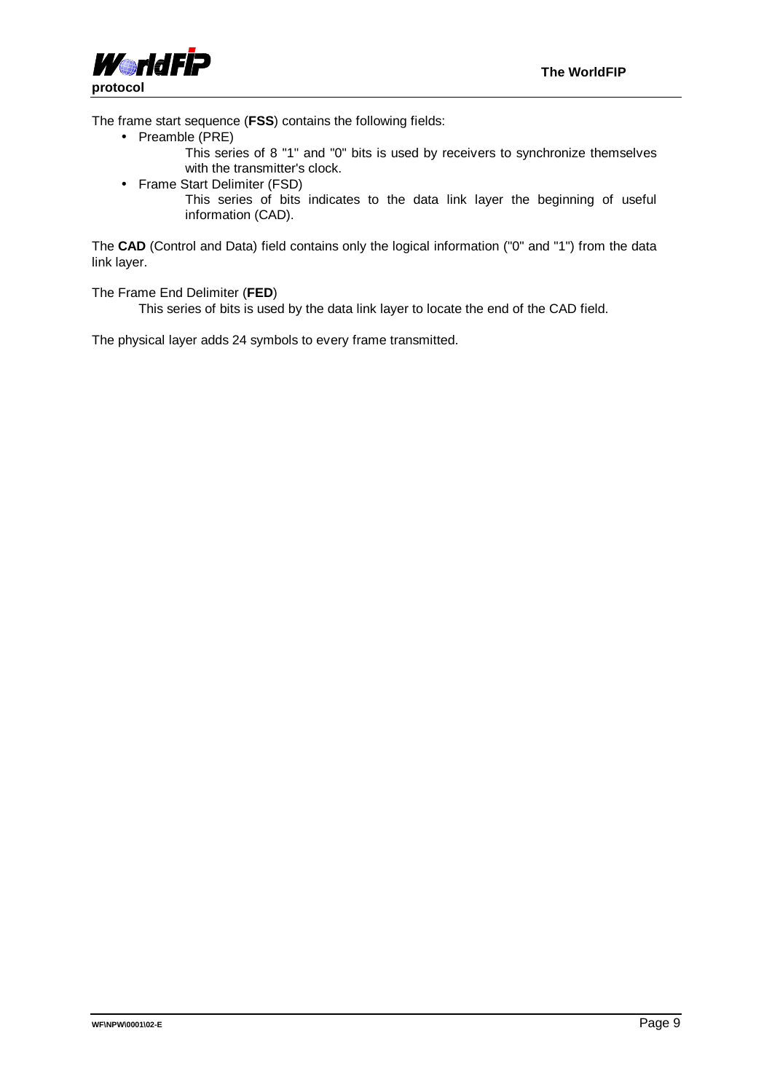

The frame start sequence (**FSS**) contains the following fields:

- Preamble (PRE)
	- This series of 8 "1" and "0" bits is used by receivers to synchronize themselves with the transmitter's clock.
- Frame Start Delimiter (FSD)
	- This series of bits indicates to the data link layer the beginning of useful information (CAD).

The **CAD** (Control and Data) field contains only the logical information ("0" and "1") from the data link layer.

The Frame End Delimiter (**FED**)

This series of bits is used by the data link layer to locate the end of the CAD field.

The physical layer adds 24 symbols to every frame transmitted.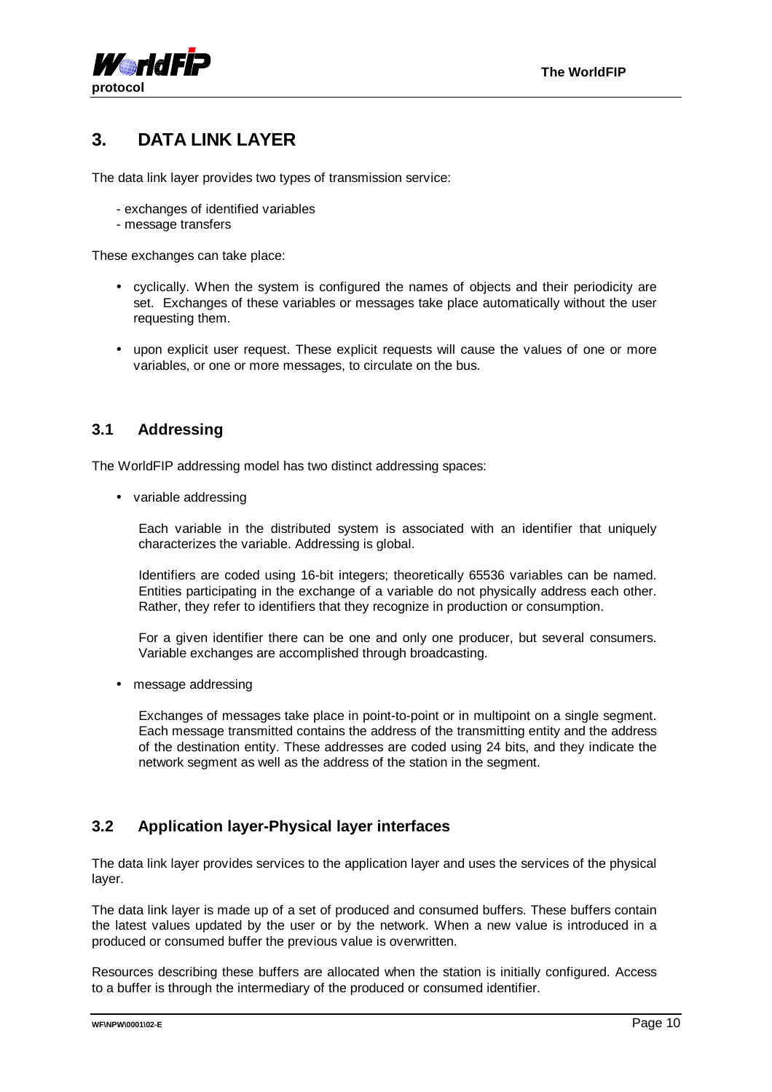

## **3. DATA LINK LAYER**

The data link layer provides two types of transmission service:

- exchanges of identified variables
- message transfers

These exchanges can take place:

- cyclically. When the system is configured the names of objects and their periodicity are set. Exchanges of these variables or messages take place automatically without the user requesting them.
- upon explicit user request. These explicit requests will cause the values of one or more variables, or one or more messages, to circulate on the bus.

### **3.1 Addressing**

The WorldFIP addressing model has two distinct addressing spaces:

• variable addressing

Each variable in the distributed system is associated with an identifier that uniquely characterizes the variable. Addressing is global.

Identifiers are coded using 16-bit integers; theoretically 65536 variables can be named. Entities participating in the exchange of a variable do not physically address each other. Rather, they refer to identifiers that they recognize in production or consumption.

For a given identifier there can be one and only one producer, but several consumers. Variable exchanges are accomplished through broadcasting.

• message addressing

Exchanges of messages take place in point-to-point or in multipoint on a single segment. Each message transmitted contains the address of the transmitting entity and the address of the destination entity. These addresses are coded using 24 bits, and they indicate the network segment as well as the address of the station in the segment.

### **3.2 Application layer-Physical layer interfaces**

The data link layer provides services to the application layer and uses the services of the physical layer.

The data link layer is made up of a set of produced and consumed buffers. These buffers contain the latest values updated by the user or by the network. When a new value is introduced in a produced or consumed buffer the previous value is overwritten.

Resources describing these buffers are allocated when the station is initially configured. Access to a buffer is through the intermediary of the produced or consumed identifier.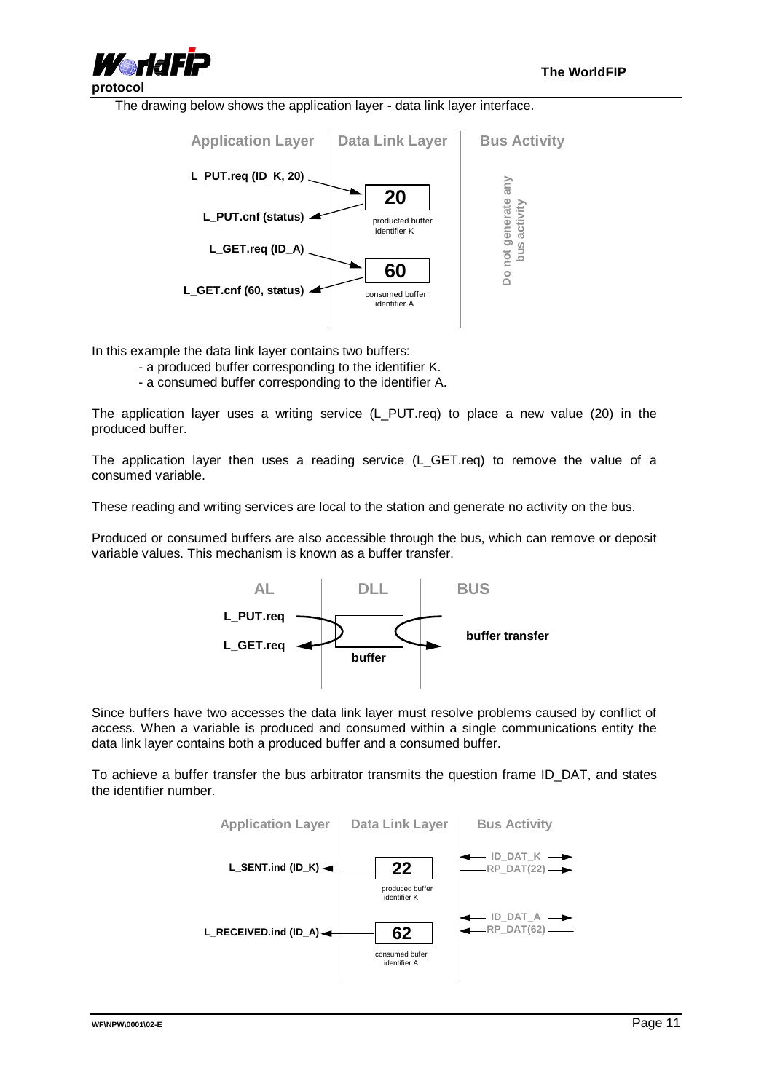

The drawing below shows the application layer - data link layer interface.



In this example the data link layer contains two buffers:

- a produced buffer corresponding to the identifier K.
- a consumed buffer corresponding to the identifier A.

The application layer uses a writing service (L\_PUT.req) to place a new value (20) in the produced buffer.

The application layer then uses a reading service (L\_GET.req) to remove the value of a consumed variable.

These reading and writing services are local to the station and generate no activity on the bus.

Produced or consumed buffers are also accessible through the bus, which can remove or deposit variable values. This mechanism is known as a buffer transfer.



Since buffers have two accesses the data link layer must resolve problems caused by conflict of access. When a variable is produced and consumed within a single communications entity the data link layer contains both a produced buffer and a consumed buffer.

To achieve a buffer transfer the bus arbitrator transmits the question frame ID\_DAT, and states the identifier number.

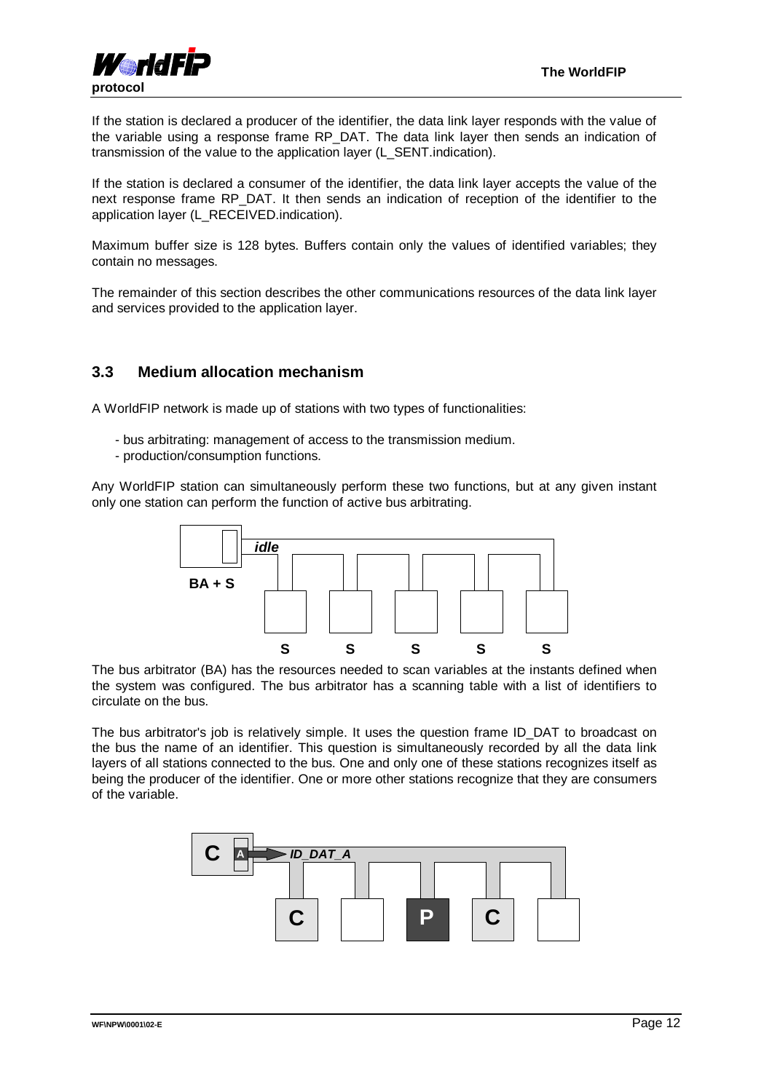If the station is declared a producer of the identifier, the data link layer responds with the value of the variable using a response frame RP\_DAT. The data link layer then sends an indication of transmission of the value to the application layer (L\_SENT.indication).

If the station is declared a consumer of the identifier, the data link layer accepts the value of the next response frame RP\_DAT. It then sends an indication of reception of the identifier to the application layer (L\_RECEIVED.indication).

Maximum buffer size is 128 bytes. Buffers contain only the values of identified variables; they contain no messages.

The remainder of this section describes the other communications resources of the data link layer and services provided to the application layer.

### **3.3 Medium allocation mechanism**

A WorldFIP network is made up of stations with two types of functionalities:

- bus arbitrating: management of access to the transmission medium.
- production/consumption functions.

Any WorldFIP station can simultaneously perform these two functions, but at any given instant only one station can perform the function of active bus arbitrating.



The bus arbitrator (BA) has the resources needed to scan variables at the instants defined when the system was configured. The bus arbitrator has a scanning table with a list of identifiers to circulate on the bus.

The bus arbitrator's job is relatively simple. It uses the question frame ID\_DAT to broadcast on the bus the name of an identifier. This question is simultaneously recorded by all the data link layers of all stations connected to the bus. One and only one of these stations recognizes itself as being the producer of the identifier. One or more other stations recognize that they are consumers of the variable.

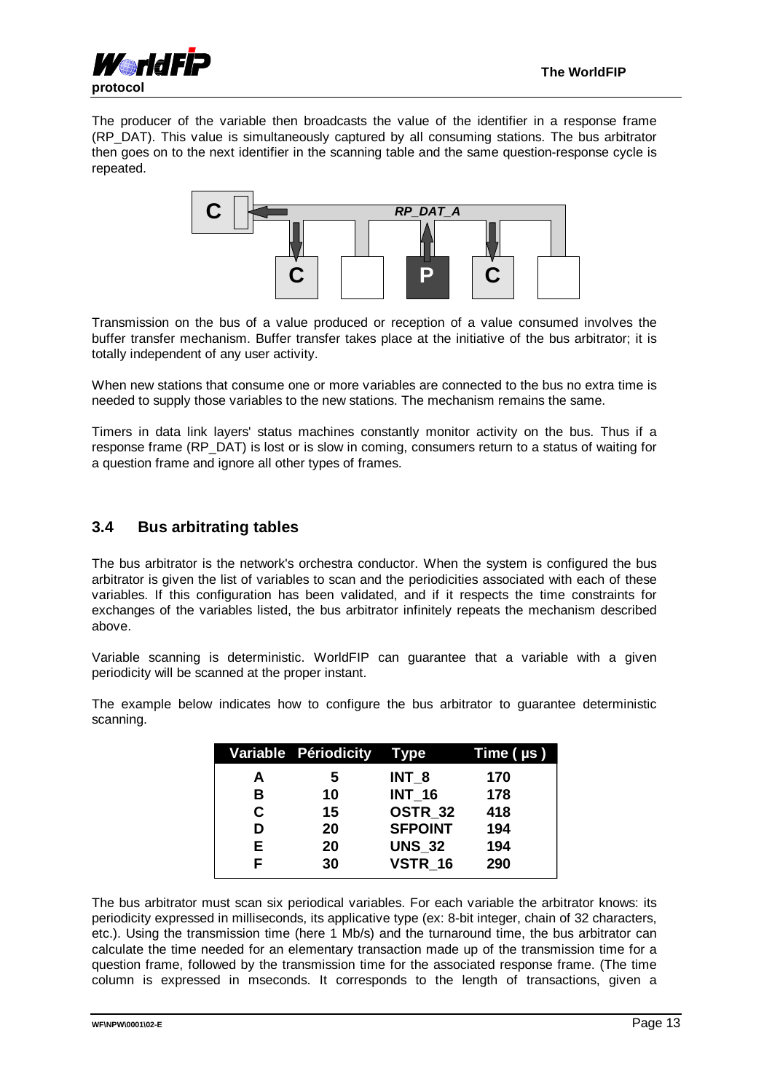

The producer of the variable then broadcasts the value of the identifier in a response frame (RP\_DAT). This value is simultaneously captured by all consuming stations. The bus arbitrator then goes on to the next identifier in the scanning table and the same question-response cycle is repeated.



Transmission on the bus of a value produced or reception of a value consumed involves the buffer transfer mechanism. Buffer transfer takes place at the initiative of the bus arbitrator; it is totally independent of any user activity.

When new stations that consume one or more variables are connected to the bus no extra time is needed to supply those variables to the new stations. The mechanism remains the same.

Timers in data link layers' status machines constantly monitor activity on the bus. Thus if a response frame (RP\_DAT) is lost or is slow in coming, consumers return to a status of waiting for a question frame and ignore all other types of frames.

### **3.4 Bus arbitrating tables**

The bus arbitrator is the network's orchestra conductor. When the system is configured the bus arbitrator is given the list of variables to scan and the periodicities associated with each of these variables. If this configuration has been validated, and if it respects the time constraints for exchanges of the variables listed, the bus arbitrator infinitely repeats the mechanism described above.

Variable scanning is deterministic. WorldFIP can guarantee that a variable with a given periodicity will be scanned at the proper instant.

|   | Variable Périodicity Type |                  | Time $( \ \mu s )$ |
|---|---------------------------|------------------|--------------------|
| A | 5                         | INT <sub>8</sub> | 170                |
| в | 10                        | <b>INT 16</b>    | 178                |
| C | 15                        | OSTR_32          | 418                |
| D | 20                        | <b>SFPOINT</b>   | 194                |
| Е | 20                        | <b>UNS 32</b>    | 194                |
| F | 30                        | <b>VSTR 16</b>   | 290                |

The example below indicates how to configure the bus arbitrator to guarantee deterministic scanning.

The bus arbitrator must scan six periodical variables. For each variable the arbitrator knows: its periodicity expressed in milliseconds, its applicative type (ex: 8-bit integer, chain of 32 characters, etc.). Using the transmission time (here 1 Mb/s) and the turnaround time, the bus arbitrator can calculate the time needed for an elementary transaction made up of the transmission time for a question frame, followed by the transmission time for the associated response frame. (The time column is expressed in mseconds. It corresponds to the length of transactions, given a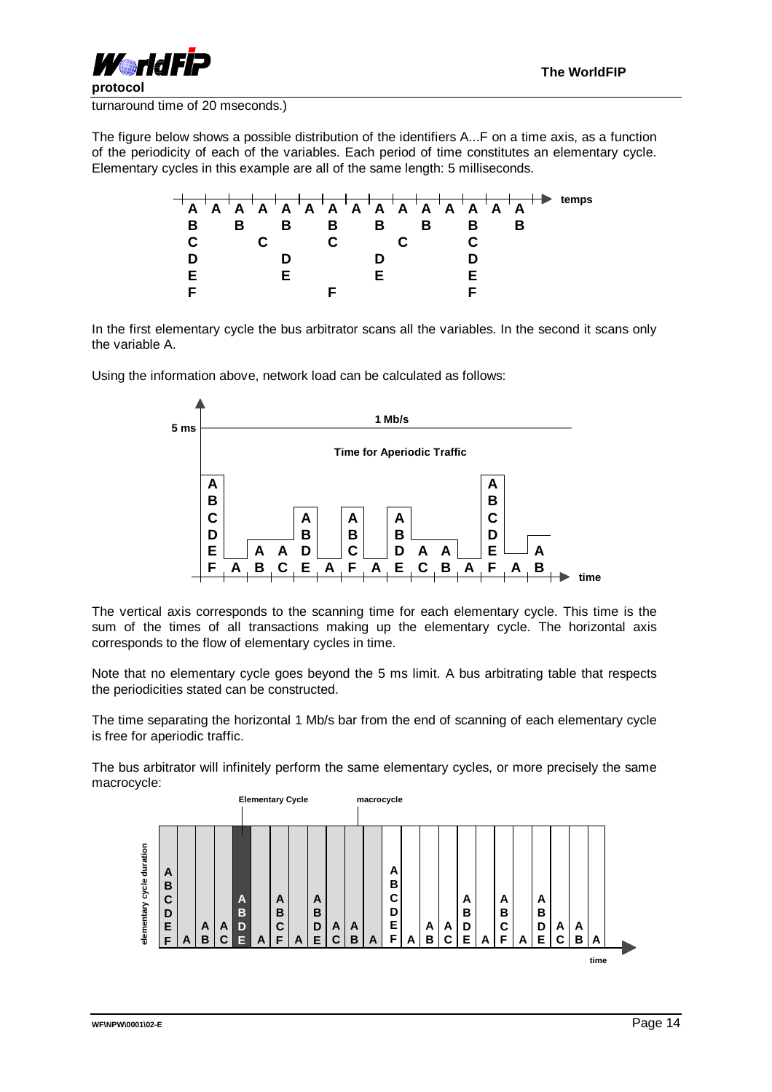

turnaround time of 20 mseconds.)

The figure below shows a possible distribution of the identifiers A...F on a time axis, as a function of the periodicity of each of the variables. Each period of time constitutes an elementary cycle. Elementary cycles in this example are all of the same length: 5 milliseconds.



In the first elementary cycle the bus arbitrator scans all the variables. In the second it scans only the variable A.

Using the information above, network load can be calculated as follows:



The vertical axis corresponds to the scanning time for each elementary cycle. This time is the sum of the times of all transactions making up the elementary cycle. The horizontal axis corresponds to the flow of elementary cycles in time.

Note that no elementary cycle goes beyond the 5 ms limit. A bus arbitrating table that respects the periodicities stated can be constructed.

The time separating the horizontal 1 Mb/s bar from the end of scanning of each elementary cycle is free for aperiodic traffic.

The bus arbitrator will infinitely perform the same elementary cycles, or more precisely the same macrocycle:

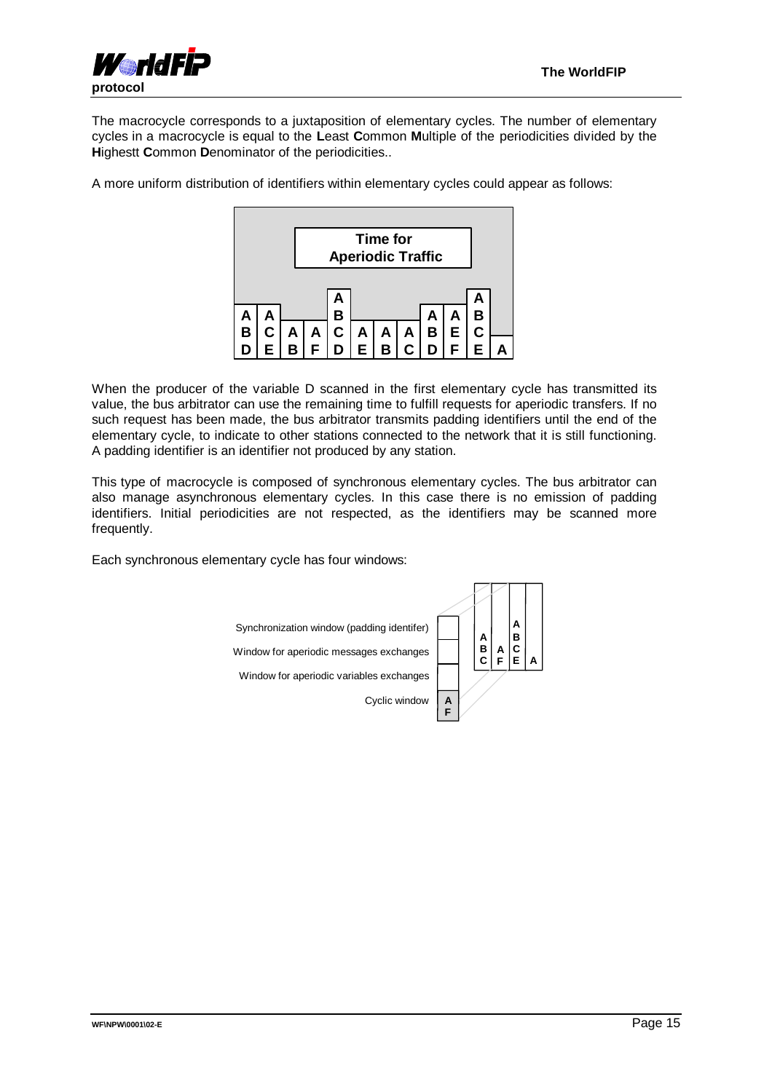The macrocycle corresponds to a juxtaposition of elementary cycles. The number of elementary cycles in a macrocycle is equal to the **L**east **C**ommon **M**ultiple of the periodicities divided by the **Highestt Common Denominator of the periodicities..** 

A more uniform distribution of identifiers within elementary cycles could appear as follows:



When the producer of the variable D scanned in the first elementary cycle has transmitted its value, the bus arbitrator can use the remaining time to fulfill requests for aperiodic transfers. If no such request has been made, the bus arbitrator transmits padding identifiers until the end of the elementary cycle, to indicate to other stations connected to the network that it is still functioning. A padding identifier is an identifier not produced by any station.

This type of macrocycle is composed of synchronous elementary cycles. The bus arbitrator can also manage asynchronous elementary cycles. In this case there is no emission of padding identifiers. Initial periodicities are not respected, as the identifiers may be scanned more frequently.

Each synchronous elementary cycle has four windows:

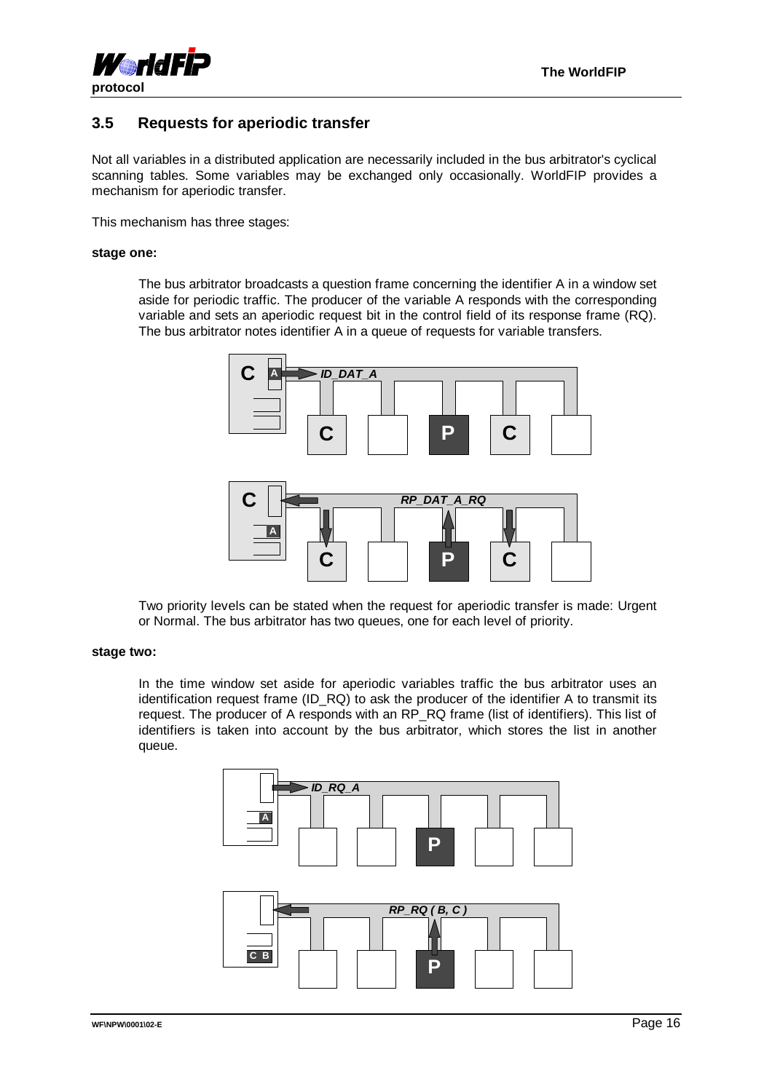

### **3.5 Requests for aperiodic transfer**

Not all variables in a distributed application are necessarily included in the bus arbitrator's cyclical scanning tables. Some variables may be exchanged only occasionally. WorldFIP provides a mechanism for aperiodic transfer.

This mechanism has three stages:

#### **stage one:**

The bus arbitrator broadcasts a question frame concerning the identifier A in a window set aside for periodic traffic. The producer of the variable A responds with the corresponding variable and sets an aperiodic request bit in the control field of its response frame (RQ). The bus arbitrator notes identifier A in a queue of requests for variable transfers.



Two priority levels can be stated when the request for aperiodic transfer is made: Urgent or Normal. The bus arbitrator has two queues, one for each level of priority.

#### **stage two:**

In the time window set aside for aperiodic variables traffic the bus arbitrator uses an identification request frame (ID\_RQ) to ask the producer of the identifier A to transmit its request. The producer of A responds with an RP\_RQ frame (list of identifiers). This list of identifiers is taken into account by the bus arbitrator, which stores the list in another queue.

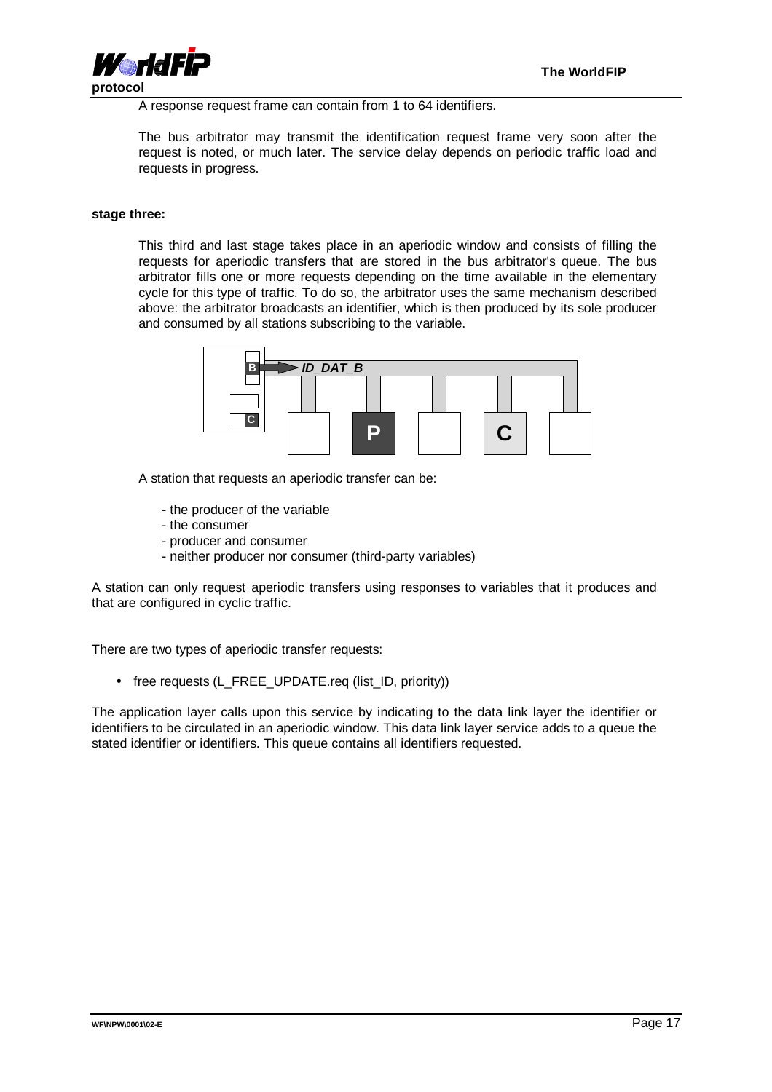

A response request frame can contain from 1 to 64 identifiers.

The bus arbitrator may transmit the identification request frame very soon after the request is noted, or much later. The service delay depends on periodic traffic load and requests in progress.

#### **stage three:**

This third and last stage takes place in an aperiodic window and consists of filling the requests for aperiodic transfers that are stored in the bus arbitrator's queue. The bus arbitrator fills one or more requests depending on the time available in the elementary cycle for this type of traffic. To do so, the arbitrator uses the same mechanism described above: the arbitrator broadcasts an identifier, which is then produced by its sole producer and consumed by all stations subscribing to the variable.



A station that requests an aperiodic transfer can be:

- the producer of the variable
- the consumer
- producer and consumer
- neither producer nor consumer (third-party variables)

A station can only request aperiodic transfers using responses to variables that it produces and that are configured in cyclic traffic.

There are two types of aperiodic transfer requests:

• free requests (L\_FREE\_UPDATE.req (list\_ID, priority))

The application layer calls upon this service by indicating to the data link layer the identifier or identifiers to be circulated in an aperiodic window. This data link layer service adds to a queue the stated identifier or identifiers. This queue contains all identifiers requested.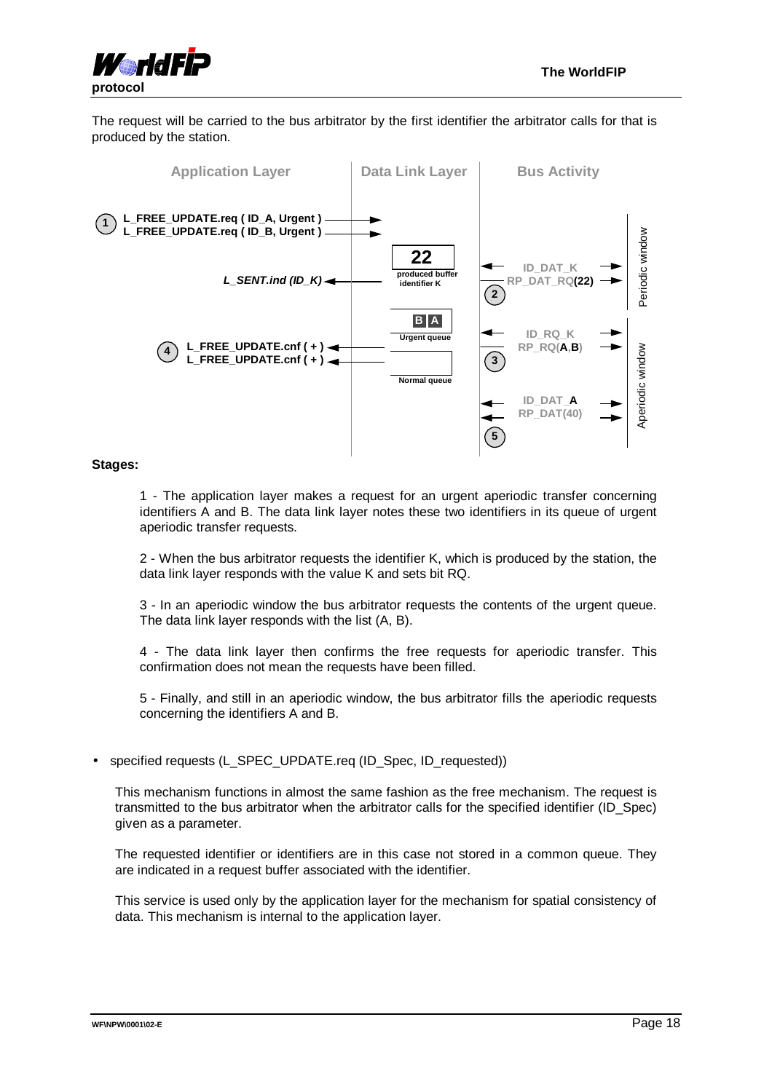

The request will be carried to the bus arbitrator by the first identifier the arbitrator calls for that is produced by the station.



#### **Stages:**

1 - The application layer makes a request for an urgent aperiodic transfer concerning identifiers A and B. The data link layer notes these two identifiers in its queue of urgent aperiodic transfer requests.

2 - When the bus arbitrator requests the identifier K, which is produced by the station, the data link layer responds with the value K and sets bit RQ.

3 - In an aperiodic window the bus arbitrator requests the contents of the urgent queue. The data link layer responds with the list (A, B).

4 - The data link layer then confirms the free requests for aperiodic transfer. This confirmation does not mean the requests have been filled.

5 - Finally, and still in an aperiodic window, the bus arbitrator fills the aperiodic requests concerning the identifiers A and B.

#### specified requests (L\_SPEC\_UPDATE.req (ID\_Spec, ID\_requested))

This mechanism functions in almost the same fashion as the free mechanism. The request is transmitted to the bus arbitrator when the arbitrator calls for the specified identifier (ID\_Spec) given as a parameter.

The requested identifier or identifiers are in this case not stored in a common queue. They are indicated in a request buffer associated with the identifier.

This service is used only by the application layer for the mechanism for spatial consistency of data. This mechanism is internal to the application layer.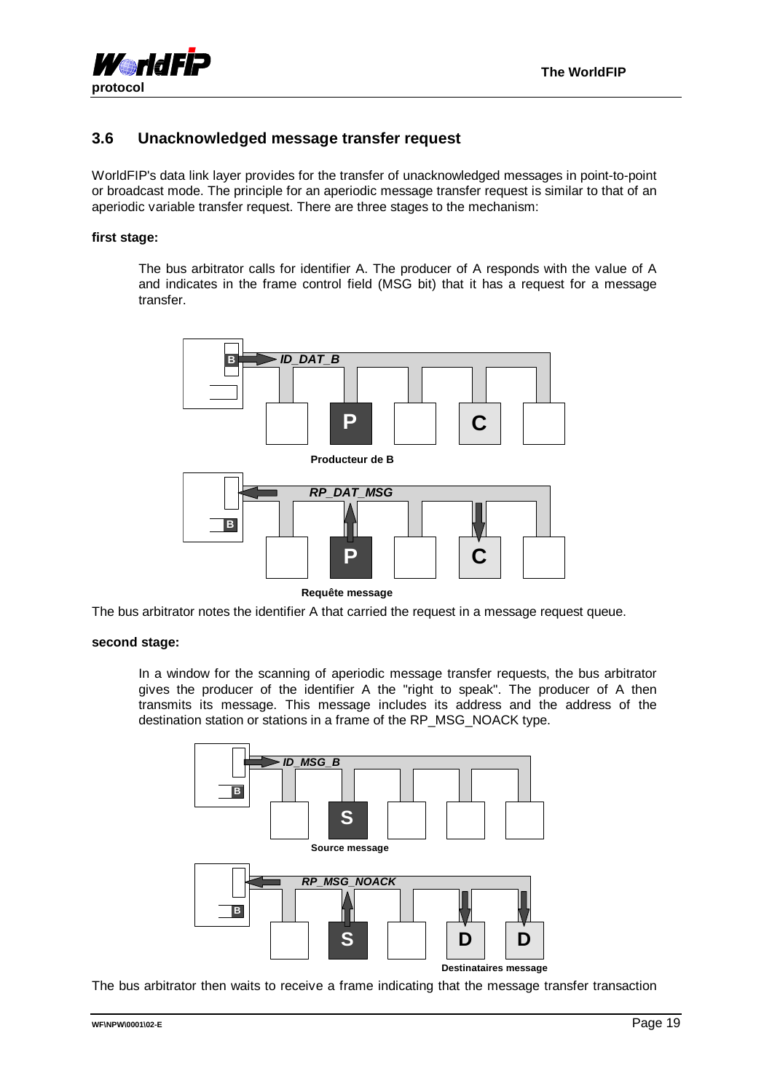

### **3.6 Unacknowledged message transfer request**

WorldFIP's data link layer provides for the transfer of unacknowledged messages in point-to-point or broadcast mode. The principle for an aperiodic message transfer request is similar to that of an aperiodic variable transfer request. There are three stages to the mechanism:

#### **first stage:**

The bus arbitrator calls for identifier A. The producer of A responds with the value of A and indicates in the frame control field (MSG bit) that it has a request for a message transfer.



**Requête message**

The bus arbitrator notes the identifier A that carried the request in a message request queue.

#### **second stage:**

In a window for the scanning of aperiodic message transfer requests, the bus arbitrator gives the producer of the identifier A the "right to speak". The producer of A then transmits its message. This message includes its address and the address of the destination station or stations in a frame of the RP\_MSG\_NOACK type.



The bus arbitrator then waits to receive a frame indicating that the message transfer transaction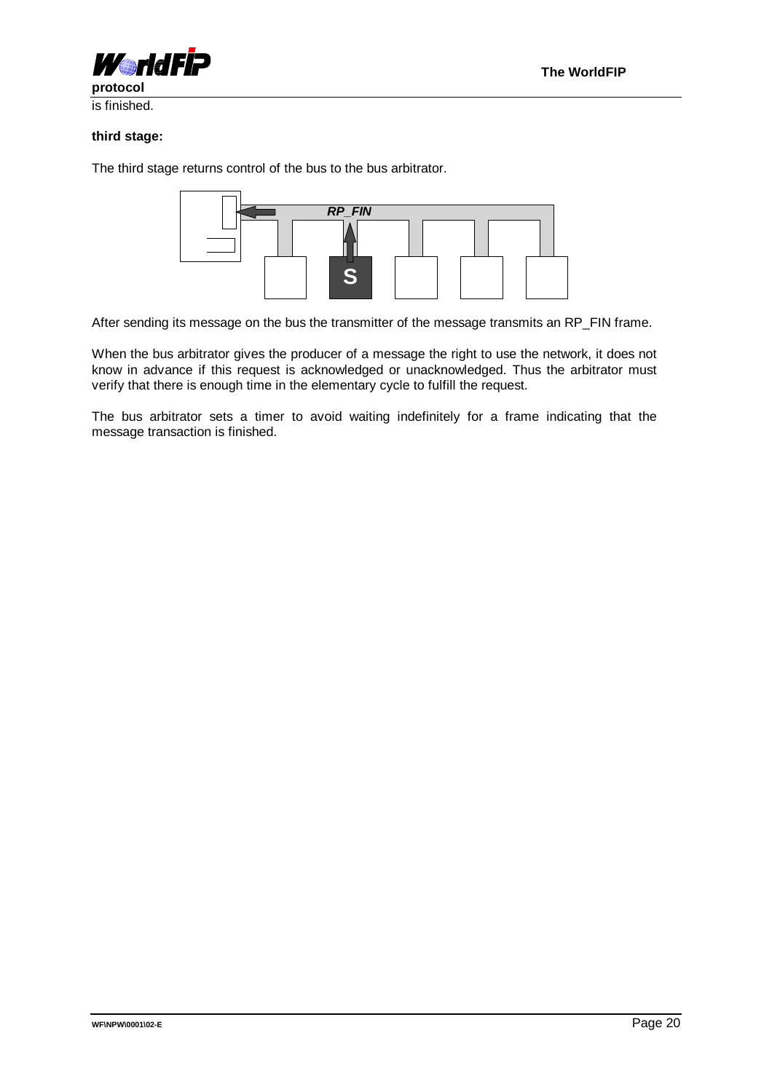



#### **third stage:**

The third stage returns control of the bus to the bus arbitrator.



After sending its message on the bus the transmitter of the message transmits an RP\_FIN frame.

When the bus arbitrator gives the producer of a message the right to use the network, it does not know in advance if this request is acknowledged or unacknowledged. Thus the arbitrator must verify that there is enough time in the elementary cycle to fulfill the request.

The bus arbitrator sets a timer to avoid waiting indefinitely for a frame indicating that the message transaction is finished.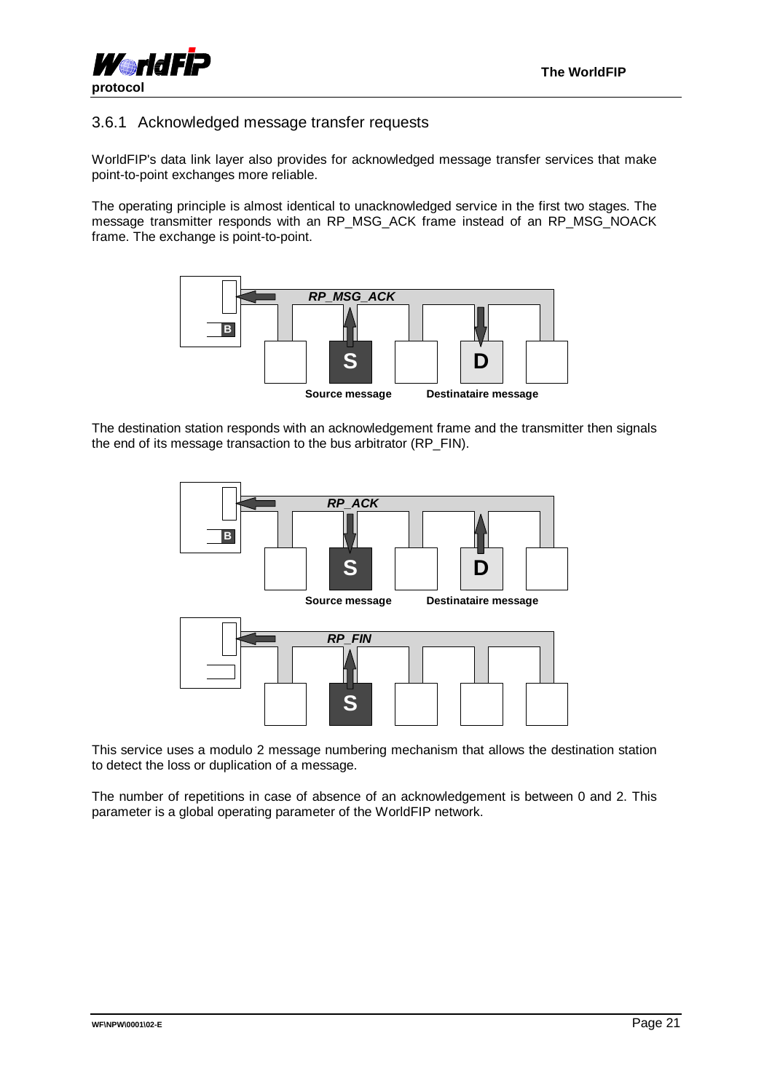

### 3.6.1 Acknowledged message transfer requests

WorldFIP's data link layer also provides for acknowledged message transfer services that make point-to-point exchanges more reliable.

The operating principle is almost identical to unacknowledged service in the first two stages. The message transmitter responds with an RP\_MSG\_ACK frame instead of an RP\_MSG\_NOACK frame. The exchange is point-to-point.



The destination station responds with an acknowledgement frame and the transmitter then signals the end of its message transaction to the bus arbitrator (RP\_FIN).



This service uses a modulo 2 message numbering mechanism that allows the destination station to detect the loss or duplication of a message.

The number of repetitions in case of absence of an acknowledgement is between 0 and 2. This parameter is a global operating parameter of the WorldFIP network.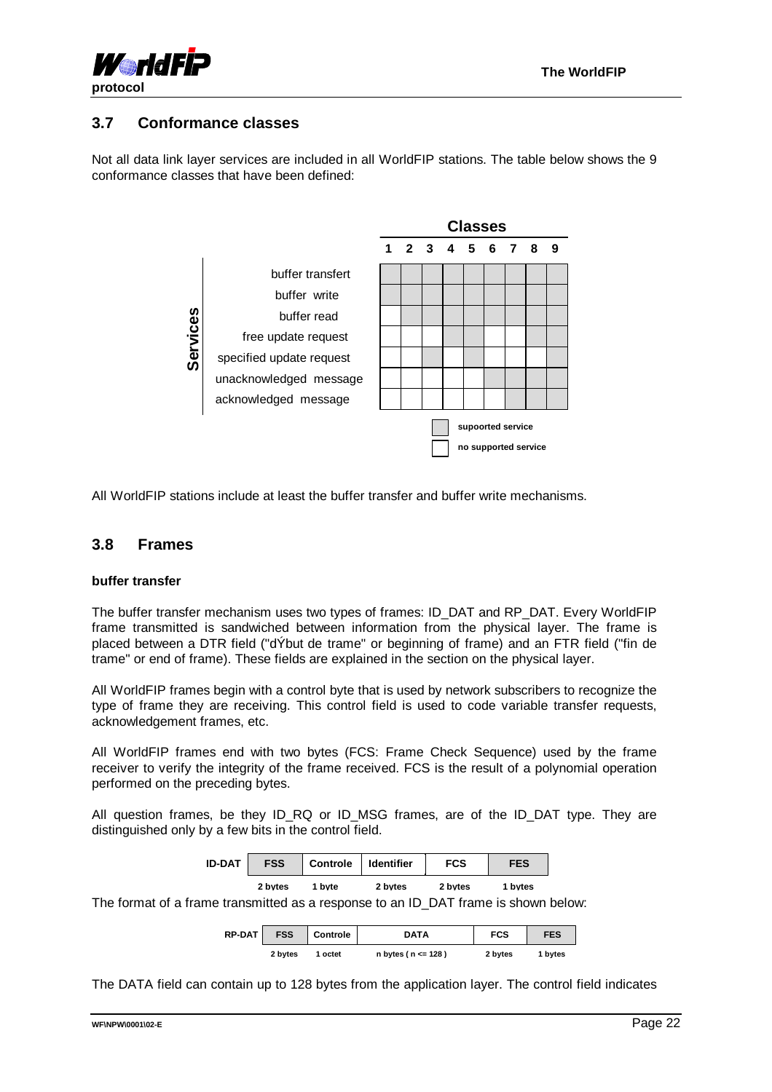

### **3.7 Conformance classes**

Not all data link layer services are included in all WorldFIP stations. The table below shows the 9 conformance classes that have been defined:



All WorldFIP stations include at least the buffer transfer and buffer write mechanisms.

### **3.8 Frames**

#### **buffer transfer**

The buffer transfer mechanism uses two types of frames: ID\_DAT and RP\_DAT. Every WorldFIP frame transmitted is sandwiched between information from the physical layer. The frame is placed between a DTR field ("dÝbut de trame" or beginning of frame) and an FTR field ("fin de trame" or end of frame). These fields are explained in the section on the physical layer.

All WorldFIP frames begin with a control byte that is used by network subscribers to recognize the type of frame they are receiving. This control field is used to code variable transfer requests, acknowledgement frames, etc.

All WorldFIP frames end with two bytes (FCS: Frame Check Sequence) used by the frame receiver to verify the integrity of the frame received. FCS is the result of a polynomial operation performed on the preceding bytes.

All question frames, be they ID\_RQ or ID\_MSG frames, are of the ID\_DAT type. They are distinguished only by a few bits in the control field.

| <b>ID-DAT</b> | <b>FSS</b> | Controle   Identifier |         | <b>FCS</b> | <b>FES</b> |
|---------------|------------|-----------------------|---------|------------|------------|
|               | 2 bytes    | 1 byte                | 2 bytes | 2 bytes    | 1 bytes    |

The format of a frame transmitted as a response to an ID\_DAT frame is shown below:

| <b>RP-DAT</b> | <b>FSS</b> | ∣ Controle | DATA                 | FCS     | <b>FES</b> |
|---------------|------------|------------|----------------------|---------|------------|
|               | 2 bytes    | octet      | n bytes ( n <= 128 ) | 2 bytes | 1 bvtes    |

The DATA field can contain up to 128 bytes from the application layer. The control field indicates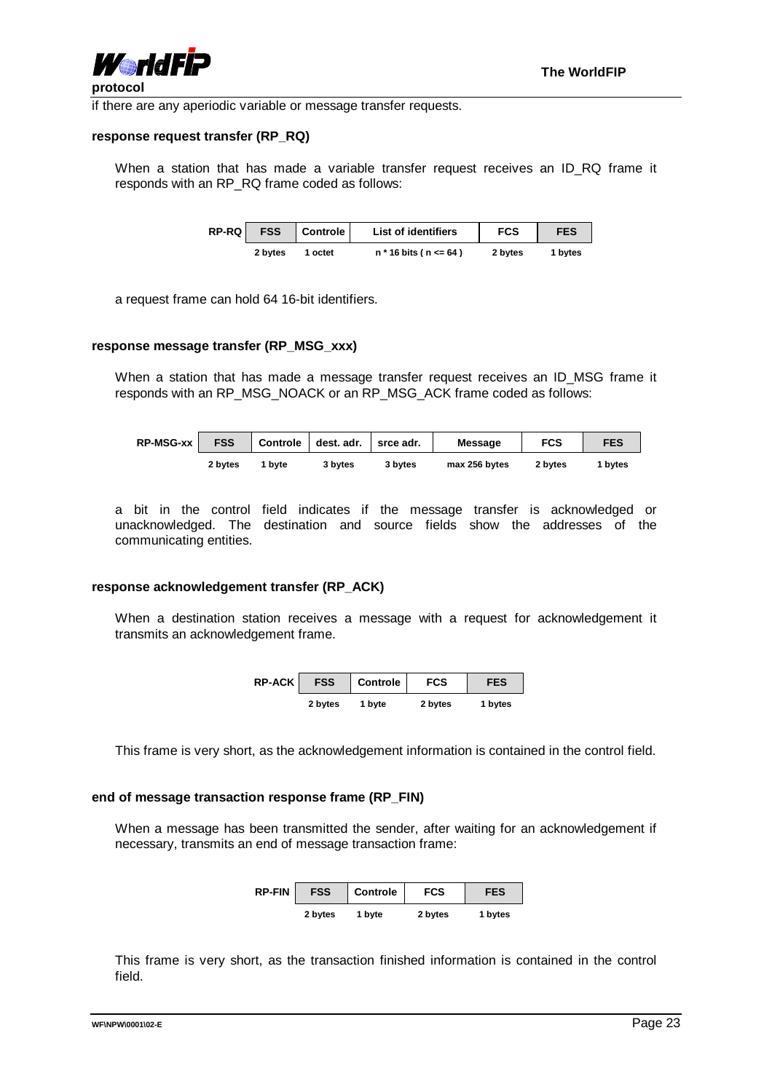

**protocol**

if there are any aperiodic variable or message transfer requests.

#### **response request transfer (RP\_RQ)**

When a station that has made a variable transfer request receives an ID RQ frame it responds with an RP\_RQ frame coded as follows:

| RP-RQ | <b>FSS</b> | <sup>■</sup> Controle ⊢ | <b>List of identifiers</b>           | <b>FCS</b> | <b>FES</b> |
|-------|------------|-------------------------|--------------------------------------|------------|------------|
|       | 2 bytes    | 1 octet                 | $n * 16 \text{ bits}$ ( $n \le 64$ ) | 2 bytes    | 1 bytes    |

a request frame can hold 64 16-bit identifiers.

#### **response message transfer (RP\_MSG\_xxx)**

When a station that has made a message transfer request receives an ID\_MSG frame it responds with an RP\_MSG\_NOACK or an RP\_MSG\_ACK frame coded as follows:

| RP-MSG-xx | <b>FSS</b> |        | Controle dest. adr.   srce adr. |         | <b>Message</b> | <b>FCS</b> | <b>FES</b> |
|-----------|------------|--------|---------------------------------|---------|----------------|------------|------------|
|           | 2 bytes    | 1 byte | 3 bytes                         | 3 bytes | max 256 bytes  | 2 bytes    | 1 bytes    |

a bit in the control field indicates if the message transfer is acknowledged or unacknowledged. The destination and source fields show the addresses of the communicating entities.

#### **response acknowledgement transfer (RP\_ACK)**

When a destination station receives a message with a request for acknowledgement it transmits an acknowledgement frame.

| <b>RP-ACK</b> | <b>FSS</b> | <b>Controle</b> | <b>FCS</b> | <b>FES</b> |
|---------------|------------|-----------------|------------|------------|
|               | 2 bytes    | 1 bvte          | 2 bytes    | 1 bytes    |

This frame is very short, as the acknowledgement information is contained in the control field.

#### **end of message transaction response frame (RP\_FIN)**

When a message has been transmitted the sender, after waiting for an acknowledgement if necessary, transmits an end of message transaction frame:

| <b>RP-FIN</b> | <b>FSS</b> | <b>Controle</b> | FCS     | <b>FES</b> |
|---------------|------------|-----------------|---------|------------|
|               | 2 bytes    | 1 byte          | 2 bytes | 1 bytes    |

This frame is very short, as the transaction finished information is contained in the control field.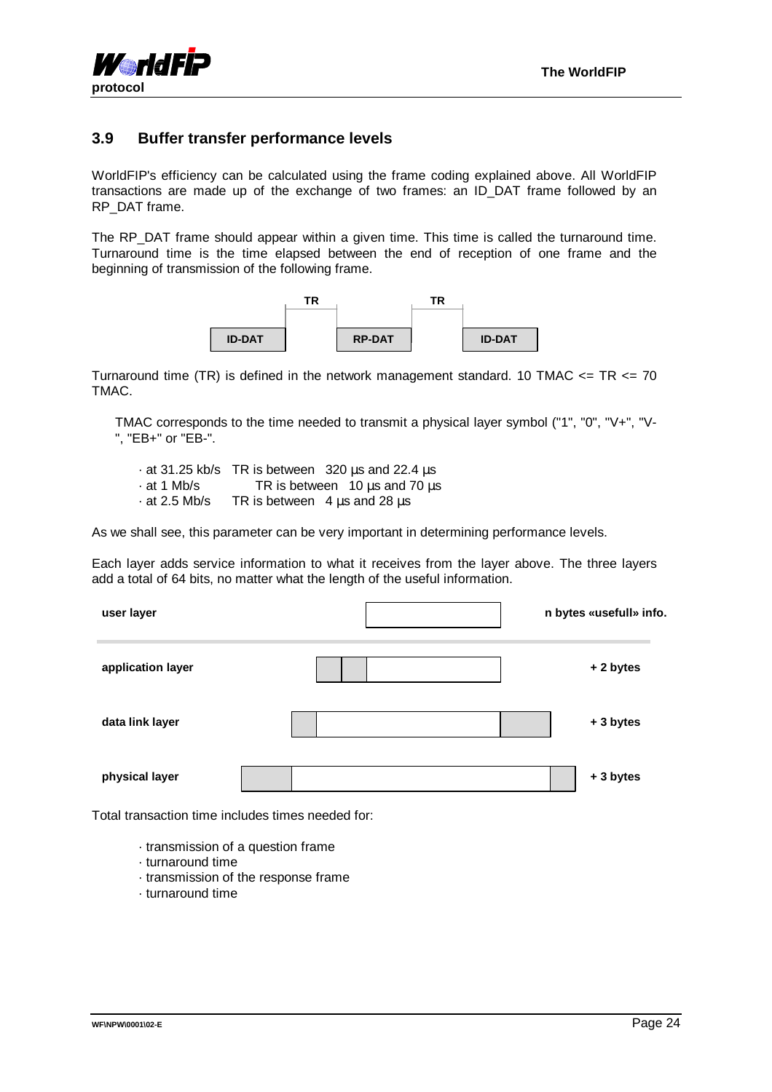

### **3.9 Buffer transfer performance levels**

WorldFIP's efficiency can be calculated using the frame coding explained above. All WorldFIP transactions are made up of the exchange of two frames: an ID\_DAT frame followed by an RP\_DAT frame.

The RP\_DAT frame should appear within a given time. This time is called the turnaround time. Turnaround time is the time elapsed between the end of reception of one frame and the beginning of transmission of the following frame.



Turnaround time (TR) is defined in the network management standard. 10 TMAC  $\leq$  TR  $\leq$  70 TMAC.

TMAC corresponds to the time needed to transmit a physical layer symbol ("1", "0", "V+", "V- ", "EB+" or "EB-".

 $\cdot$  at 31.25 kb/s TR is between 320  $\mu$ s and 22.4  $\mu$ s · at 1 Mb/s TR is between 10 μs and 70 μs  $\cdot$  at 2.5 Mb/s TR is between 4 μs and 28 μs

As we shall see, this parameter can be very important in determining performance levels.

Each layer adds service information to what it receives from the layer above. The three layers add a total of 64 bits, no matter what the length of the useful information.

| user layer        | n bytes «usefull» info. |
|-------------------|-------------------------|
| application layer | + 2 bytes               |
| data link layer   | + 3 bytes               |
| physical layer    | + 3 bytes               |

Total transaction time includes times needed for:

- · transmission of a question frame
- · turnaround time
- · transmission of the response frame
- · turnaround time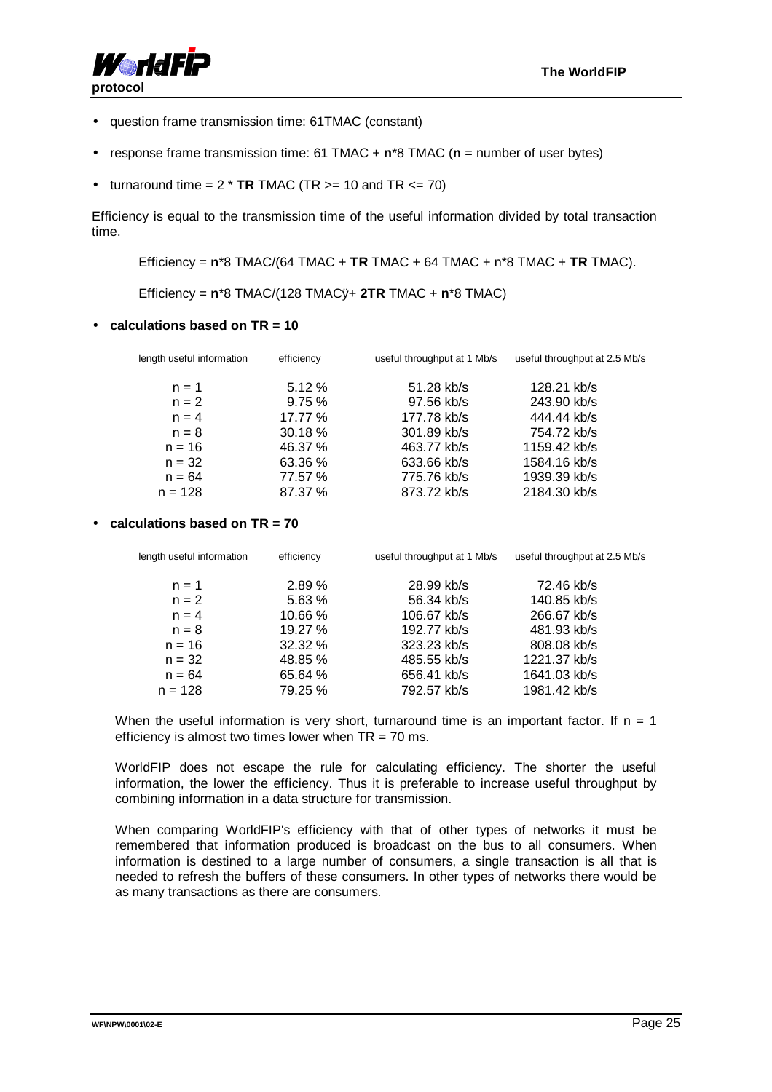

- question frame transmission time: 61TMAC (constant)
- response frame transmission time: 61 TMAC +  $n$ <sup>\*8</sup> TMAC ( $n$  = number of user bytes)
- turnaround time =  $2 * TR TMAC$  (TR  $>= 10$  and TR  $<= 70$ )

Efficiency is equal to the transmission time of the useful information divided by total transaction time.

Efficiency = **n**\*8 TMAC/(64 TMAC + **TR** TMAC + 64 TMAC + n\*8 TMAC + **TR** TMAC).

Efficiency = **n**\*8 TMAC/(128 TMACÿ+ **2TR** TMAC + **n**\*8 TMAC)

#### • **calculations based on TR = 10**

| length useful information | efficiency | useful throughput at 1 Mb/s | useful throughput at 2.5 Mb/s |
|---------------------------|------------|-----------------------------|-------------------------------|
| $n = 1$                   | 5.12%      | 51.28 kb/s                  | 128.21 kb/s                   |
| $n = 2$                   | 9.75%      | 97.56 kb/s                  | 243.90 kb/s                   |
| $n = 4$                   | 17.77 %    | 177.78 kb/s                 | 444.44 kb/s                   |
| $n = 8$                   | 30.18 %    | 301.89 kb/s                 | 754.72 kb/s                   |
| $n = 16$                  | 46.37 %    | 463.77 kb/s                 | 1159.42 kb/s                  |
| $n = 32$                  | 63.36 %    | 633.66 kb/s                 | 1584.16 kb/s                  |
| $n = 64$                  | 77.57 %    | 775.76 kb/s                 | 1939.39 kb/s                  |
| $n = 128$                 | 87.37 %    | 873.72 kb/s                 | 2184.30 kb/s                  |

#### • **calculations based on TR = 70**

| length useful information | efficiency | useful throughput at 1 Mb/s | useful throughput at 2.5 Mb/s |
|---------------------------|------------|-----------------------------|-------------------------------|
| $n = 1$                   | 2.89%      | 28.99 kb/s                  | 72.46 kb/s                    |
| $n = 2$                   | 5.63 %     | 56.34 kb/s                  | 140.85 kb/s                   |
| $n = 4$                   | 10.66 %    | 106.67 kb/s                 | 266.67 kb/s                   |
| $n = 8$                   | 19.27 %    | 192.77 kb/s                 | 481.93 kb/s                   |
| $n = 16$                  | 32.32 %    | 323.23 kb/s                 | 808.08 kb/s                   |
| $n = 32$                  | 48.85 %    | 485.55 kb/s                 | 1221.37 kb/s                  |
| $n = 64$                  | 65.64 %    | 656.41 kb/s                 | 1641.03 kb/s                  |
| $n = 128$                 | 79.25 %    | 792.57 kb/s                 | 1981.42 kb/s                  |
|                           |            |                             |                               |

When the useful information is very short, turnaround time is an important factor. If  $n = 1$ efficiency is almost two times lower when  $TR = 70$  ms.

WorldFIP does not escape the rule for calculating efficiency. The shorter the useful information, the lower the efficiency. Thus it is preferable to increase useful throughput by combining information in a data structure for transmission.

When comparing WorldFIP's efficiency with that of other types of networks it must be remembered that information produced is broadcast on the bus to all consumers. When information is destined to a large number of consumers, a single transaction is all that is needed to refresh the buffers of these consumers. In other types of networks there would be as many transactions as there are consumers.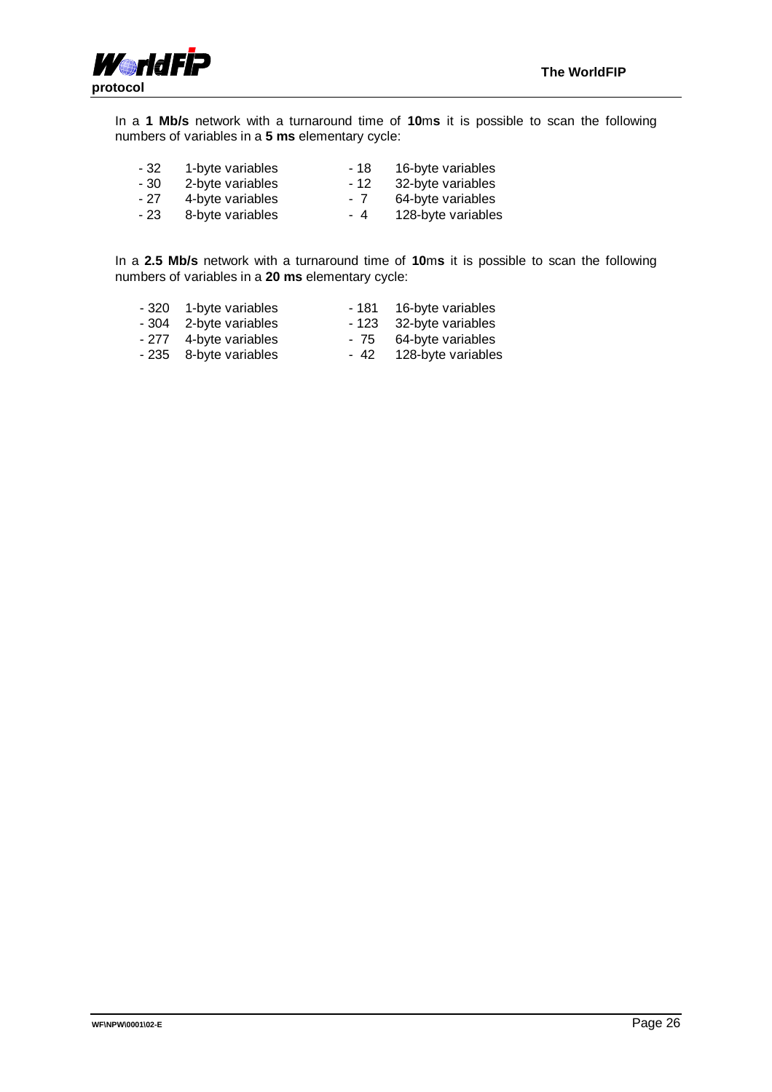

In a **1 Mb/s** network with a turnaround time of **10**m**s** it is possible to scan the following numbers of variables in a **5 ms** elementary cycle:

- 32 1-byte variables 18 16-byte variables
- 30 2-byte variables 12 32-byte variables<br>- 27 4-byte variables 7 64-byte variables
- 27 4-byte variables 7 64-byte variables<br>- 23 8-byte variables 4 128-byte variables
	- 23 8-byte variables 4 128-byte variables

In a **2.5 Mb/s** network with a turnaround time of **10**m**s** it is possible to scan the following numbers of variables in a **20 ms** elementary cycle:

- 320 1-byte variables 181 16-byte variables<br>- 304 2-byte variables 123 32-byte variables
- 304 2-byte variables 123 32-byte variables<br>- 277 4-byte variables 75 64-byte variables
- 
- 4-byte variables<br>8-byte variables<br>8-byte variables<br>22 128-byte variables  $-235$  8-byte variables

**WF\NPW\0001\02-E** Page 26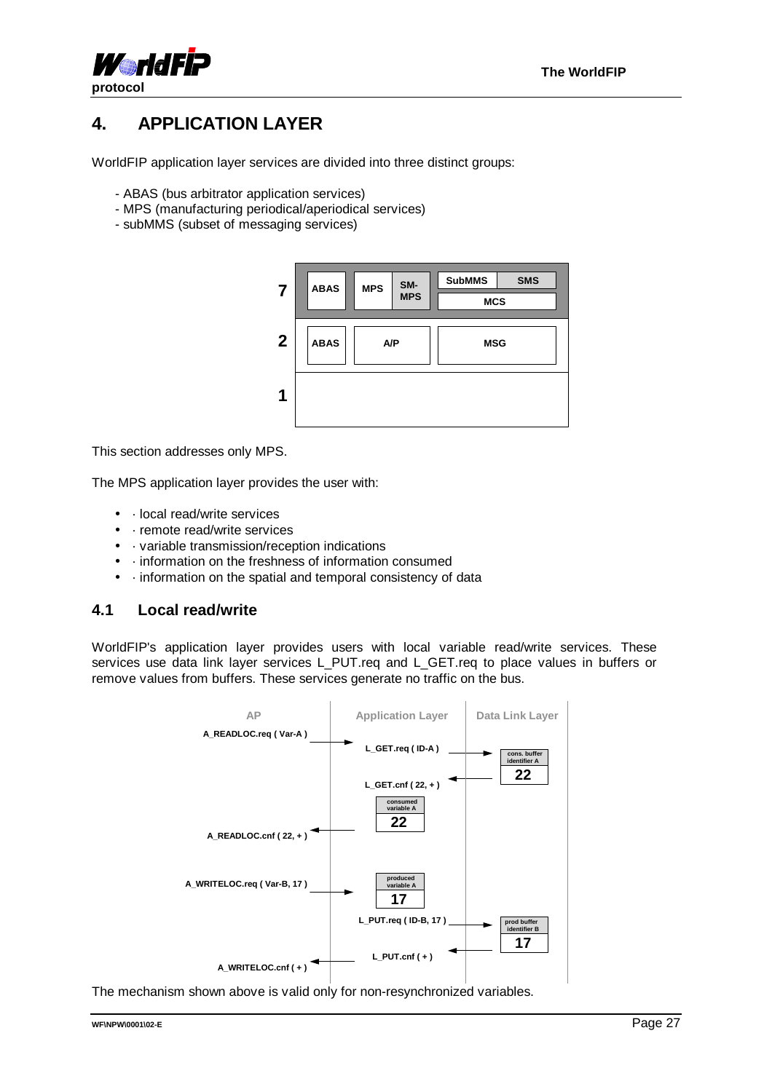

## **4. APPLICATION LAYER**

WorldFIP application layer services are divided into three distinct groups:

- ABAS (bus arbitrator application services)
- MPS (manufacturing periodical/aperiodical services)
- subMMS (subset of messaging services)



This section addresses only MPS.

The MPS application layer provides the user with:

- · local read/write services
- · remote read/write services
- · variable transmission/reception indications
- · information on the freshness of information consumed
- · information on the spatial and temporal consistency of data

### **4.1 Local read/write**

WorldFIP's application layer provides users with local variable read/write services. These services use data link layer services L\_PUT.reg and L\_GET.reg to place values in buffers or remove values from buffers. These services generate no traffic on the bus.



The mechanism shown above is valid only for non-resynchronized variables.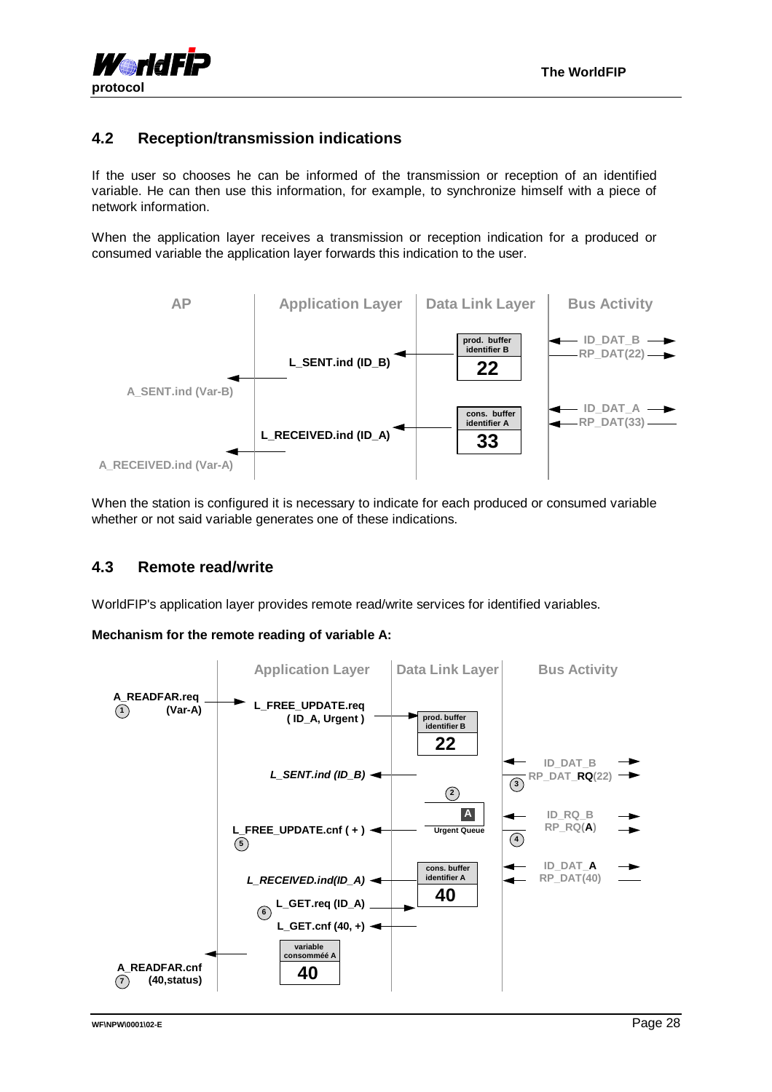

### **4.2 Reception/transmission indications**

If the user so chooses he can be informed of the transmission or reception of an identified variable. He can then use this information, for example, to synchronize himself with a piece of network information.

When the application layer receives a transmission or reception indication for a produced or consumed variable the application layer forwards this indication to the user.



When the station is configured it is necessary to indicate for each produced or consumed variable whether or not said variable generates one of these indications.

### **4.3 Remote read/write**

WorldFIP's application layer provides remote read/write services for identified variables.

#### **Mechanism for the remote reading of variable A:**

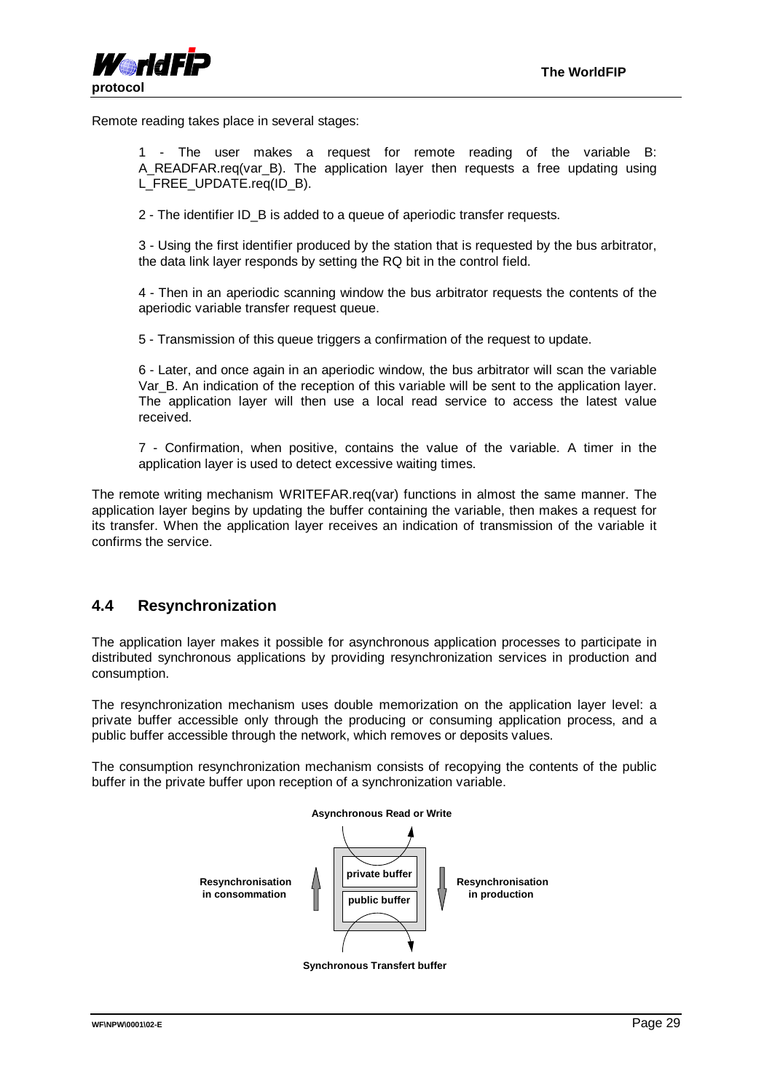

Remote reading takes place in several stages:

1 - The user makes a request for remote reading of the variable B: A\_READFAR.req(var\_B). The application layer then requests a free updating using L\_FREE\_UPDATE.req(ID\_B).

2 - The identifier ID B is added to a queue of aperiodic transfer requests.

3 - Using the first identifier produced by the station that is requested by the bus arbitrator, the data link layer responds by setting the RQ bit in the control field.

4 - Then in an aperiodic scanning window the bus arbitrator requests the contents of the aperiodic variable transfer request queue.

5 - Transmission of this queue triggers a confirmation of the request to update.

6 - Later, and once again in an aperiodic window, the bus arbitrator will scan the variable Var B. An indication of the reception of this variable will be sent to the application layer. The application layer will then use a local read service to access the latest value received.

7 - Confirmation, when positive, contains the value of the variable. A timer in the application layer is used to detect excessive waiting times.

The remote writing mechanism WRITEFAR.req(var) functions in almost the same manner. The application layer begins by updating the buffer containing the variable, then makes a request for its transfer. When the application layer receives an indication of transmission of the variable it confirms the service.

### **4.4 Resynchronization**

The application layer makes it possible for asynchronous application processes to participate in distributed synchronous applications by providing resynchronization services in production and consumption.

The resynchronization mechanism uses double memorization on the application layer level: a private buffer accessible only through the producing or consuming application process, and a public buffer accessible through the network, which removes or deposits values.

The consumption resynchronization mechanism consists of recopying the contents of the public buffer in the private buffer upon reception of a synchronization variable.

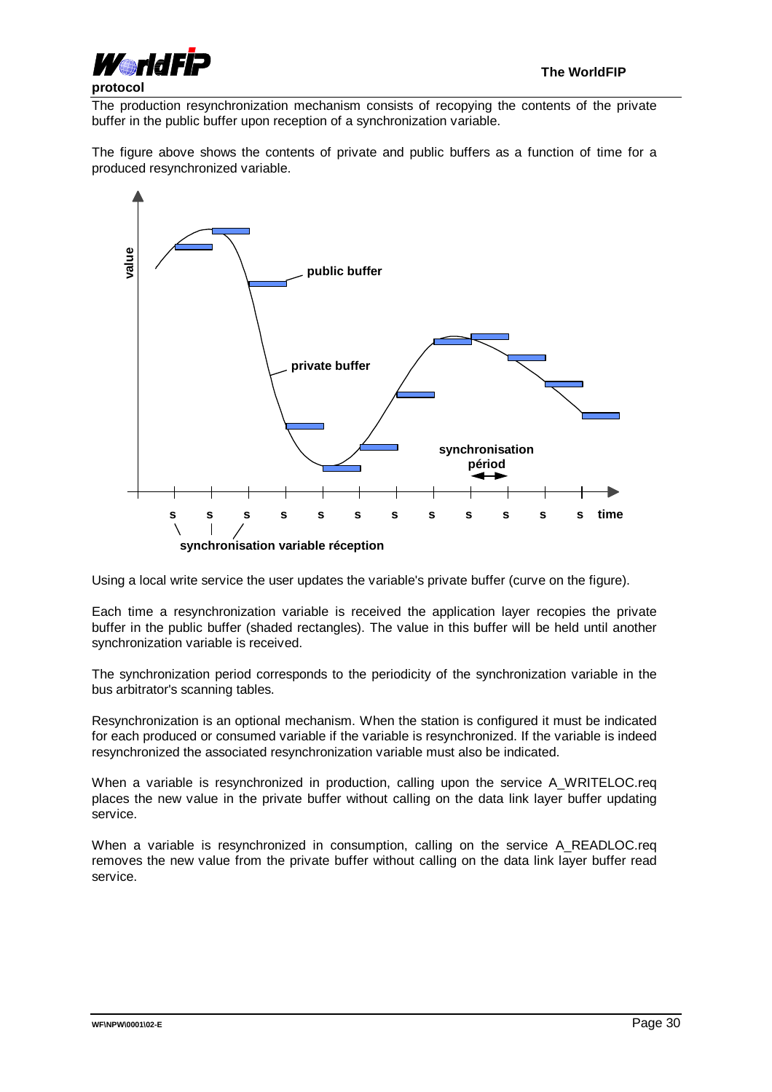

#### **protocol**

The production resynchronization mechanism consists of recopying the contents of the private buffer in the public buffer upon reception of a synchronization variable.

The figure above shows the contents of private and public buffers as a function of time for a produced resynchronized variable.



Using a local write service the user updates the variable's private buffer (curve on the figure).

Each time a resynchronization variable is received the application layer recopies the private buffer in the public buffer (shaded rectangles). The value in this buffer will be held until another synchronization variable is received.

The synchronization period corresponds to the periodicity of the synchronization variable in the bus arbitrator's scanning tables.

Resynchronization is an optional mechanism. When the station is configured it must be indicated for each produced or consumed variable if the variable is resynchronized. If the variable is indeed resynchronized the associated resynchronization variable must also be indicated.

When a variable is resynchronized in production, calling upon the service A\_WRITELOC.req places the new value in the private buffer without calling on the data link layer buffer updating service.

When a variable is resynchronized in consumption, calling on the service A READLOC.req removes the new value from the private buffer without calling on the data link layer buffer read service.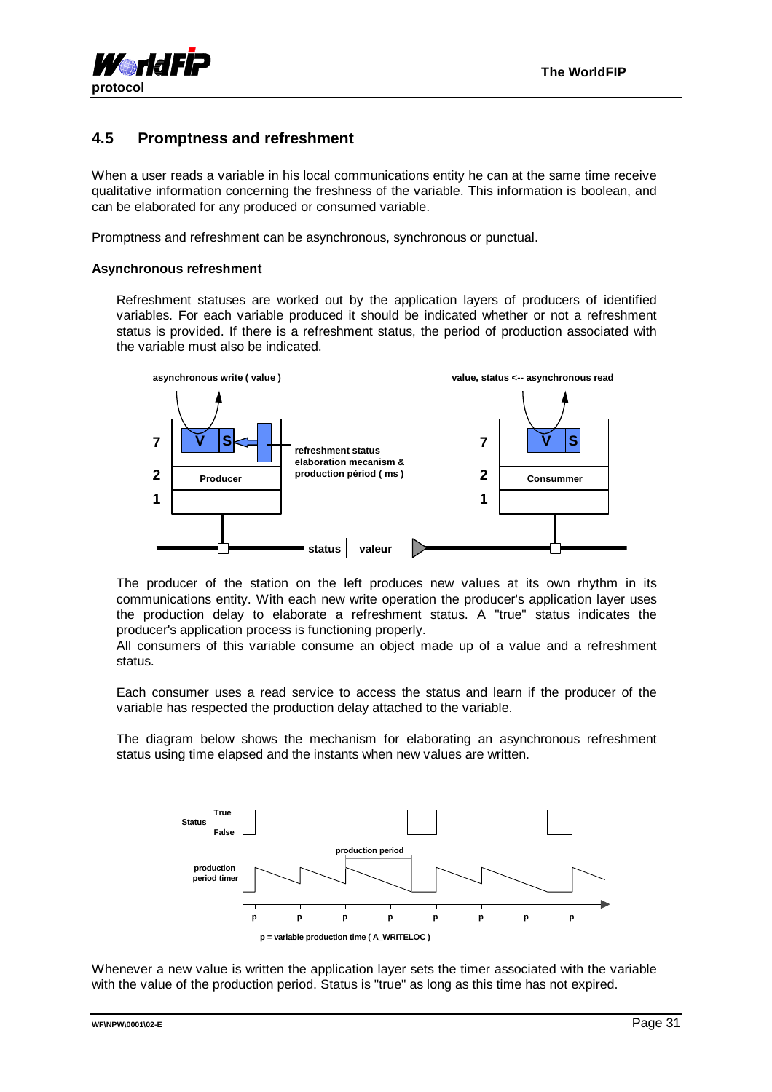

### **4.5 Promptness and refreshment**

When a user reads a variable in his local communications entity he can at the same time receive qualitative information concerning the freshness of the variable. This information is boolean, and can be elaborated for any produced or consumed variable.

Promptness and refreshment can be asynchronous, synchronous or punctual.

#### **Asynchronous refreshment**

Refreshment statuses are worked out by the application layers of producers of identified variables. For each variable produced it should be indicated whether or not a refreshment status is provided. If there is a refreshment status, the period of production associated with the variable must also be indicated.



The producer of the station on the left produces new values at its own rhythm in its communications entity. With each new write operation the producer's application layer uses the production delay to elaborate a refreshment status. A "true" status indicates the producer's application process is functioning properly.

All consumers of this variable consume an object made up of a value and a refreshment status.

Each consumer uses a read service to access the status and learn if the producer of the variable has respected the production delay attached to the variable.

The diagram below shows the mechanism for elaborating an asynchronous refreshment status using time elapsed and the instants when new values are written.



Whenever a new value is written the application layer sets the timer associated with the variable with the value of the production period. Status is "true" as long as this time has not expired.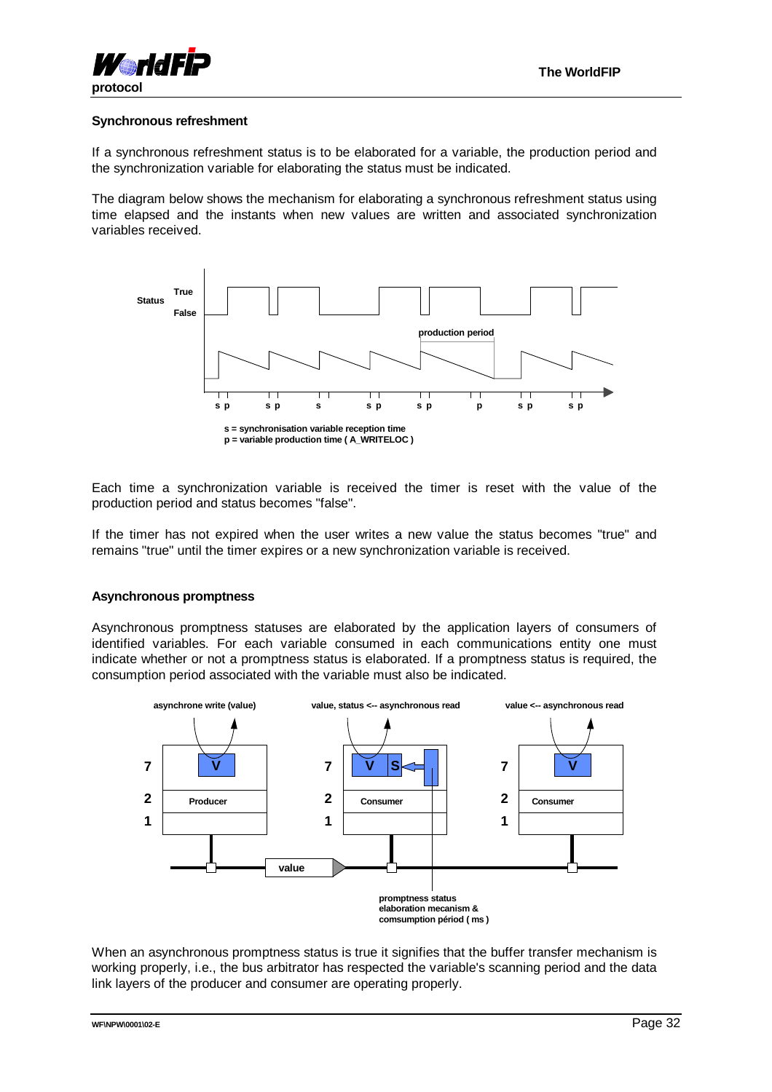

#### **Synchronous refreshment**

If a synchronous refreshment status is to be elaborated for a variable, the production period and the synchronization variable for elaborating the status must be indicated.

The diagram below shows the mechanism for elaborating a synchronous refreshment status using time elapsed and the instants when new values are written and associated synchronization variables received.



Each time a synchronization variable is received the timer is reset with the value of the production period and status becomes "false".

If the timer has not expired when the user writes a new value the status becomes "true" and remains "true" until the timer expires or a new synchronization variable is received.

#### **Asynchronous promptness**

Asynchronous promptness statuses are elaborated by the application layers of consumers of identified variables. For each variable consumed in each communications entity one must indicate whether or not a promptness status is elaborated. If a promptness status is required, the consumption period associated with the variable must also be indicated.



When an asynchronous promptness status is true it signifies that the buffer transfer mechanism is working properly, i.e., the bus arbitrator has respected the variable's scanning period and the data link layers of the producer and consumer are operating properly.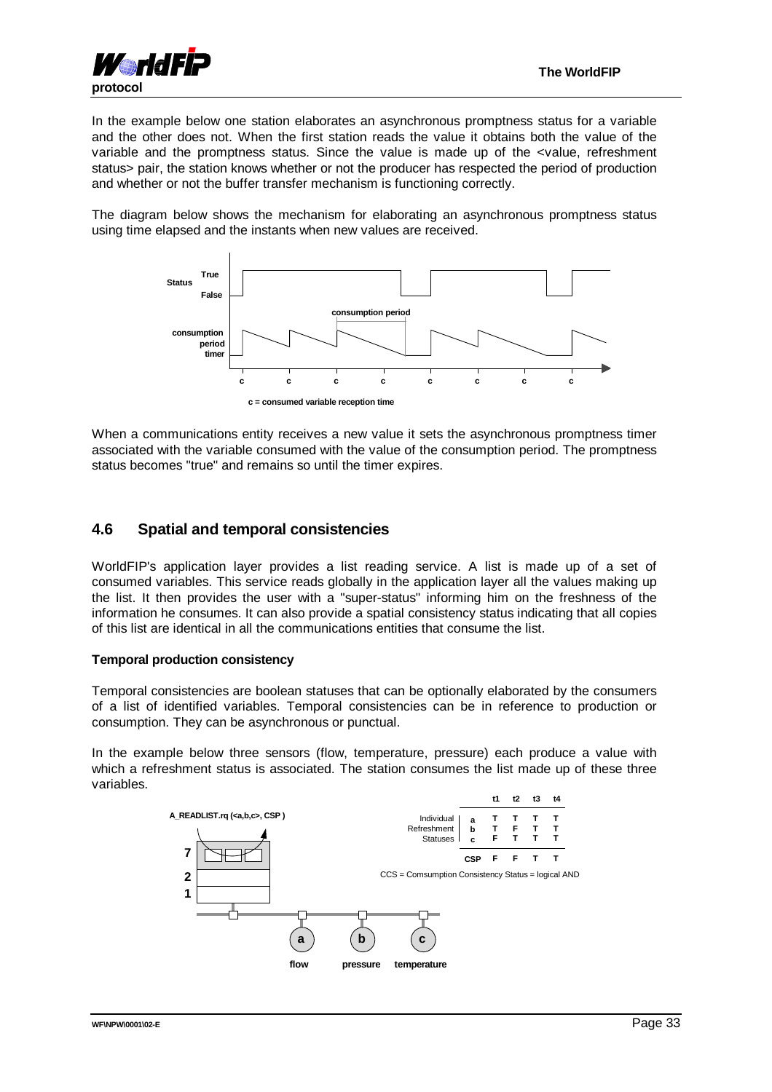

In the example below one station elaborates an asynchronous promptness status for a variable and the other does not. When the first station reads the value it obtains both the value of the variable and the promptness status. Since the value is made up of the <value, refreshment status> pair, the station knows whether or not the producer has respected the period of production and whether or not the buffer transfer mechanism is functioning correctly.

The diagram below shows the mechanism for elaborating an asynchronous promptness status using time elapsed and the instants when new values are received.



When a communications entity receives a new value it sets the asynchronous promptness timer associated with the variable consumed with the value of the consumption period. The promptness status becomes "true" and remains so until the timer expires.

### **4.6 Spatial and temporal consistencies**

WorldFIP's application layer provides a list reading service. A list is made up of a set of consumed variables. This service reads globally in the application layer all the values making up the list. It then provides the user with a "super-status" informing him on the freshness of the information he consumes. It can also provide a spatial consistency status indicating that all copies of this list are identical in all the communications entities that consume the list.

#### **Temporal production consistency**

Temporal consistencies are boolean statuses that can be optionally elaborated by the consumers of a list of identified variables. Temporal consistencies can be in reference to production or consumption. They can be asynchronous or punctual.

In the example below three sensors (flow, temperature, pressure) each produce a value with which a refreshment status is associated. The station consumes the list made up of these three variables.

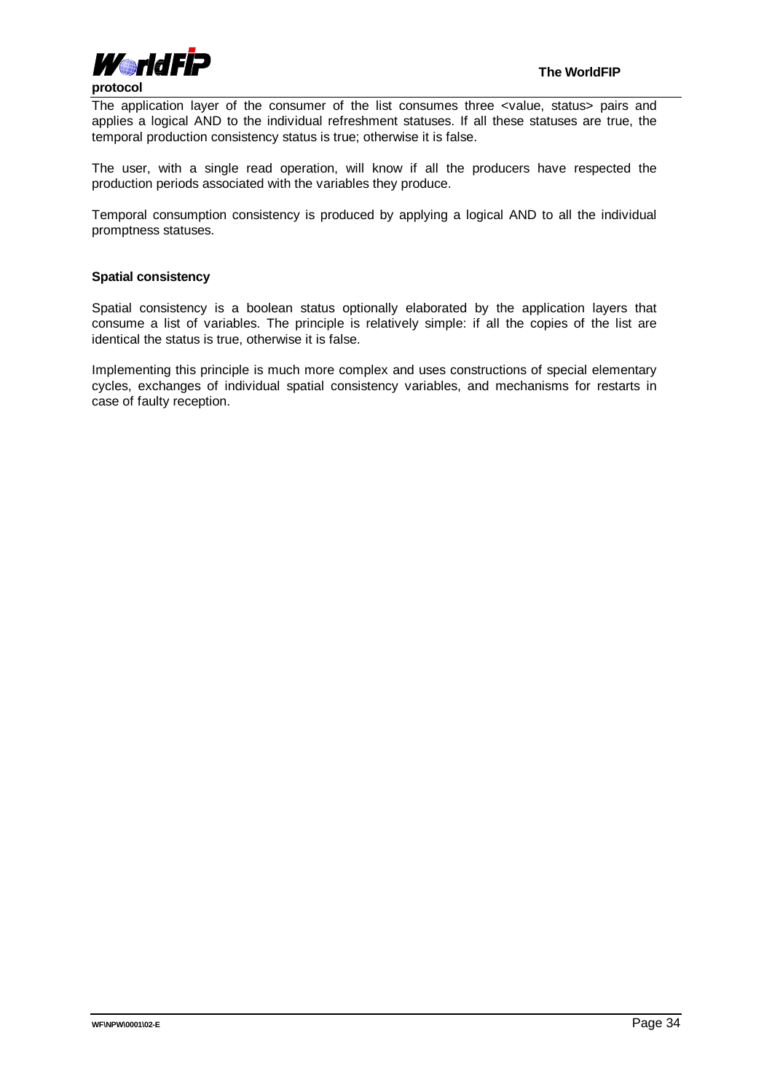

The application layer of the consumer of the list consumes three <value, status> pairs and applies a logical AND to the individual refreshment statuses. If all these statuses are true, the temporal production consistency status is true; otherwise it is false.

The user, with a single read operation, will know if all the producers have respected the production periods associated with the variables they produce.

Temporal consumption consistency is produced by applying a logical AND to all the individual promptness statuses.

#### **Spatial consistency**

Spatial consistency is a boolean status optionally elaborated by the application layers that consume a list of variables. The principle is relatively simple: if all the copies of the list are identical the status is true, otherwise it is false.

Implementing this principle is much more complex and uses constructions of special elementary cycles, exchanges of individual spatial consistency variables, and mechanisms for restarts in case of faulty reception.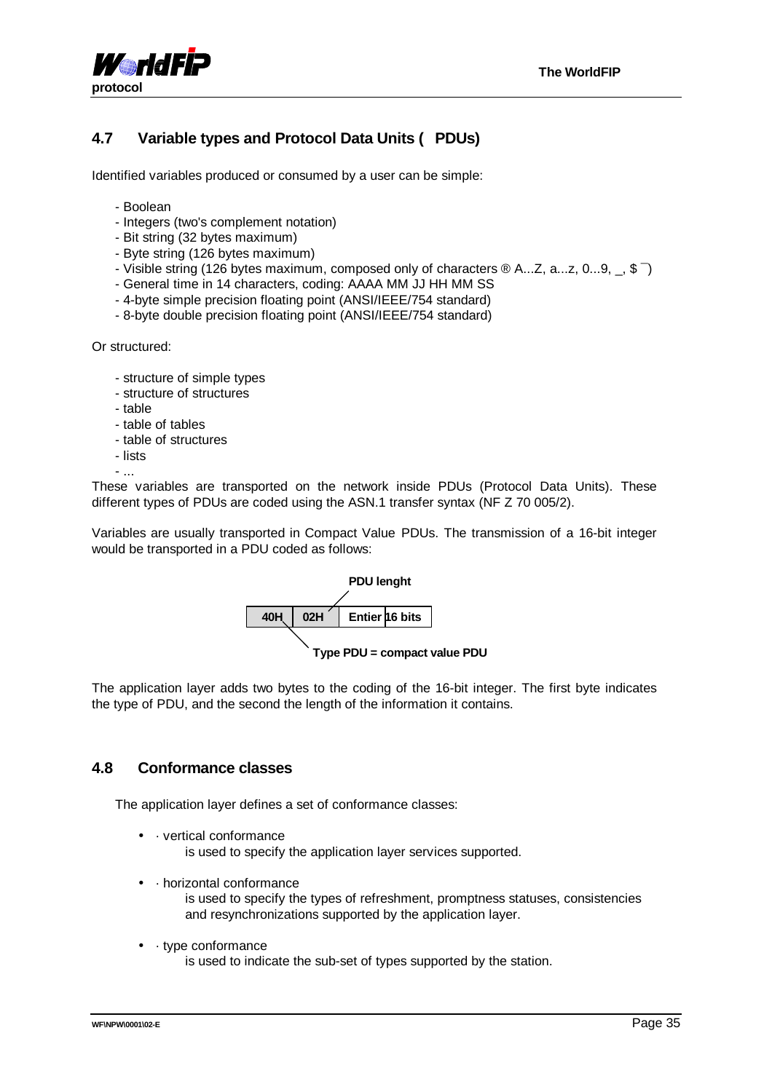

## **4.7 Variable types and Protocol Data Units ( PDUs)**

Identified variables produced or consumed by a user can be simple:

- Boolean
- Integers (two's complement notation)
- Bit string (32 bytes maximum)
- Byte string (126 bytes maximum)
- Visible string (126 bytes maximum, composed only of characters  $\otimes$  A...Z, a...z, 0...9, . \$  $\bar{ }$ )
- General time in 14 characters, coding: AAAA MM JJ HH MM SS
- 4-byte simple precision floating point (ANSI/IEEE/754 standard)
- 8-byte double precision floating point (ANSI/IEEE/754 standard)

Or structured:

- structure of simple types
- structure of structures
- table
- table of tables
- table of structures
- lists

- ...

These variables are transported on the network inside PDUs (Protocol Data Units). These different types of PDUs are coded using the ASN.1 transfer syntax (NF Z 70 005/2).

Variables are usually transported in Compact Value PDUs. The transmission of a 16-bit integer would be transported in a PDU coded as follows:



The application layer adds two bytes to the coding of the 16-bit integer. The first byte indicates the type of PDU, and the second the length of the information it contains.

### **4.8 Conformance classes**

The application layer defines a set of conformance classes:

- · vertical conformance is used to specify the application layer services supported.
- · horizontal conformance

is used to specify the types of refreshment, promptness statuses, consistencies and resynchronizations supported by the application layer.

• · type conformance

is used to indicate the sub-set of types supported by the station.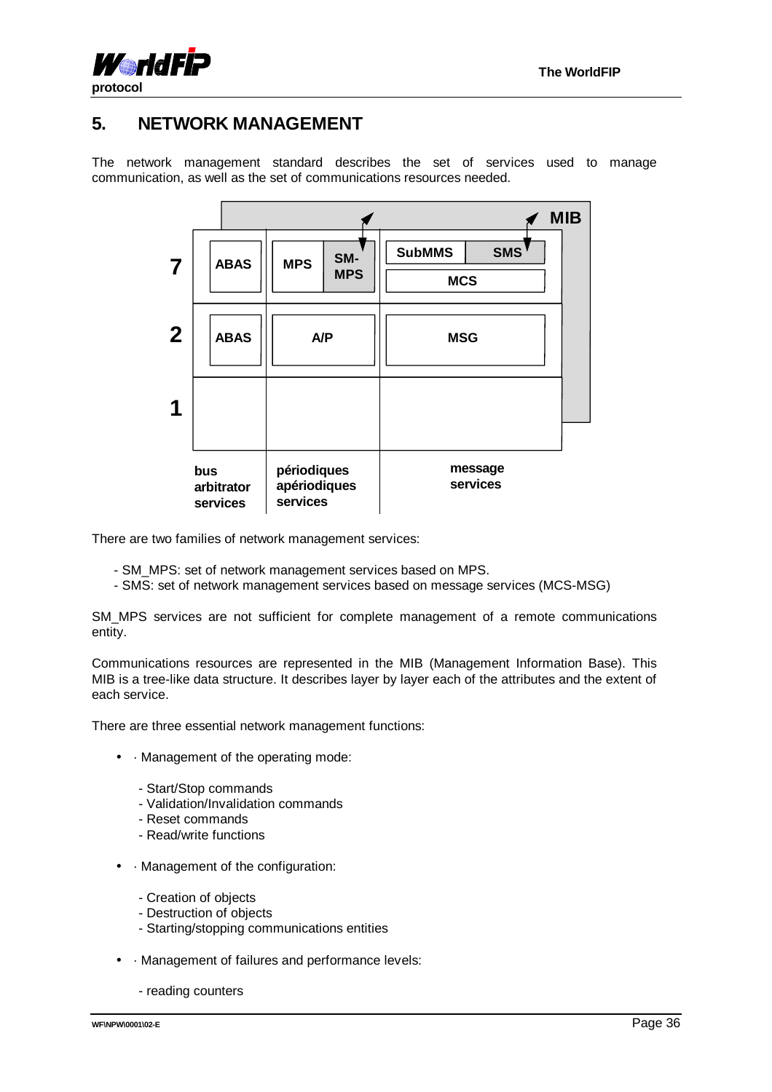

## **5. NETWORK MANAGEMENT**

The network management standard describes the set of services used to manage communication, as well as the set of communications resources needed.



There are two families of network management services:

- SM\_MPS: set of network management services based on MPS.
- SMS: set of network management services based on message services (MCS-MSG)

SM\_MPS services are not sufficient for complete management of a remote communications entity.

Communications resources are represented in the MIB (Management Information Base). This MIB is a tree-like data structure. It describes layer by layer each of the attributes and the extent of each service.

There are three essential network management functions:

- · Management of the operating mode:
	- Start/Stop commands
	- Validation/Invalidation commands
	- Reset commands
	- Read/write functions
- · Management of the configuration:
	- Creation of objects
	- Destruction of objects
	- Starting/stopping communications entities
- · Management of failures and performance levels:
	- reading counters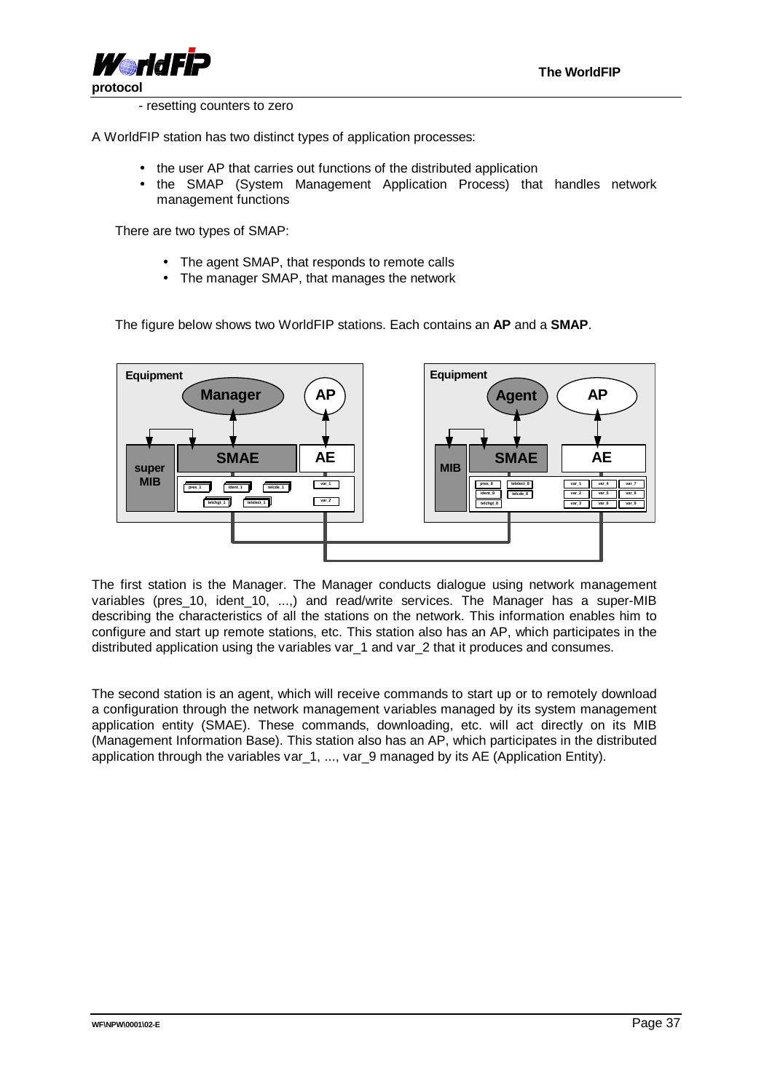

- resetting counters to zero

A WorldFIP station has two distinct types of application processes:

- the user AP that carries out functions of the distributed application
- the SMAP (System Management Application Process) that handles network management functions

There are two types of SMAP:

- The agent SMAP, that responds to remote calls
- The manager SMAP, that manages the network

The figure below shows two WorldFIP stations. Each contains an **AP** and a **SMAP**.



The first station is the Manager. The Manager conducts dialogue using network management variables (pres 10, ident 10, ....) and read/write services. The Manager has a super-MIB describing the characteristics of all the stations on the network. This information enables him to configure and start up remote stations, etc. This station also has an AP, which participates in the distributed application using the variables var\_1 and var\_2 that it produces and consumes.

The second station is an agent, which will receive commands to start up or to remotely download a configuration through the network management variables managed by its system management application entity (SMAE). These commands, downloading, etc. will act directly on its MIB (Management Information Base). This station also has an AP, which participates in the distributed application through the variables var\_1, ..., var\_9 managed by its AE (Application Entity).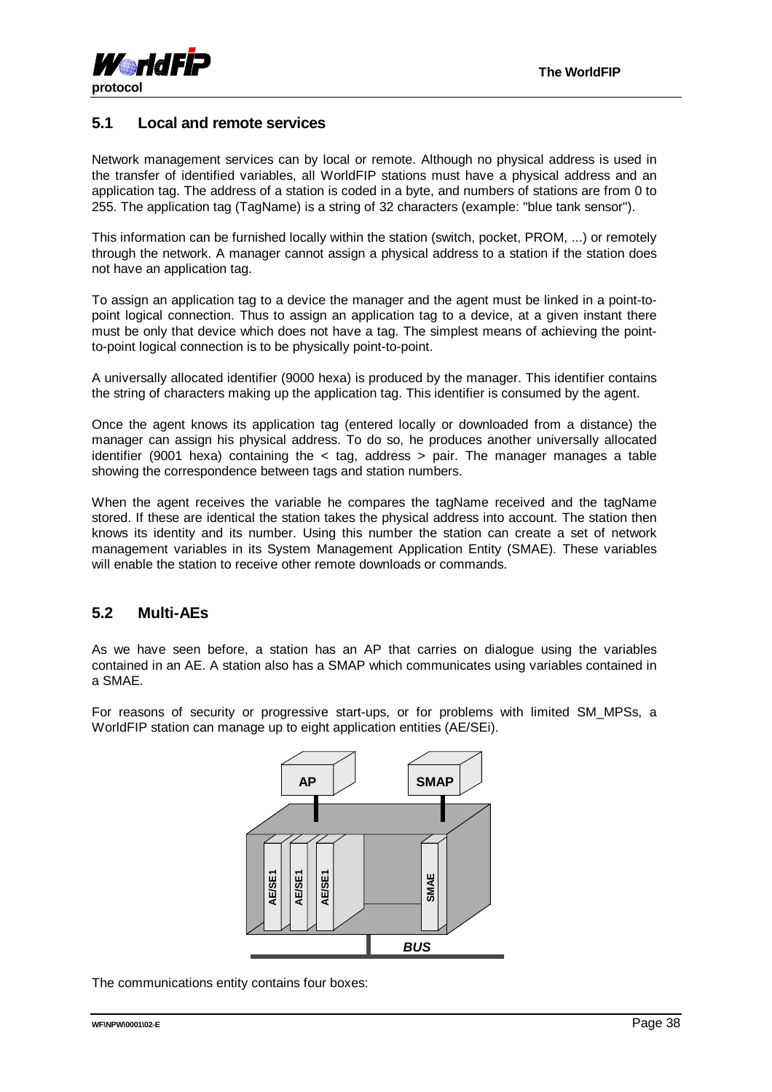

### **5.1 Local and remote services**

Network management services can by local or remote. Although no physical address is used in the transfer of identified variables, all WorldFIP stations must have a physical address and an application tag. The address of a station is coded in a byte, and numbers of stations are from 0 to 255. The application tag (TagName) is a string of 32 characters (example: "blue tank sensor").

This information can be furnished locally within the station (switch, pocket, PROM, ...) or remotely through the network. A manager cannot assign a physical address to a station if the station does not have an application tag.

To assign an application tag to a device the manager and the agent must be linked in a point-topoint logical connection. Thus to assign an application tag to a device, at a given instant there must be only that device which does not have a tag. The simplest means of achieving the pointto-point logical connection is to be physically point-to-point.

A universally allocated identifier (9000 hexa) is produced by the manager. This identifier contains the string of characters making up the application tag. This identifier is consumed by the agent.

Once the agent knows its application tag (entered locally or downloaded from a distance) the manager can assign his physical address. To do so, he produces another universally allocated identifier (9001 hexa) containing the < tag, address > pair. The manager manages a table showing the correspondence between tags and station numbers.

When the agent receives the variable he compares the tagName received and the tagName stored. If these are identical the station takes the physical address into account. The station then knows its identity and its number. Using this number the station can create a set of network management variables in its System Management Application Entity (SMAE). These variables will enable the station to receive other remote downloads or commands.

### **5.2 Multi-AEs**

As we have seen before, a station has an AP that carries on dialogue using the variables contained in an AE. A station also has a SMAP which communicates using variables contained in a SMAE.

For reasons of security or progressive start-ups, or for problems with limited SM\_MPSs, a WorldFIP station can manage up to eight application entities (AE/SEi).



The communications entity contains four boxes: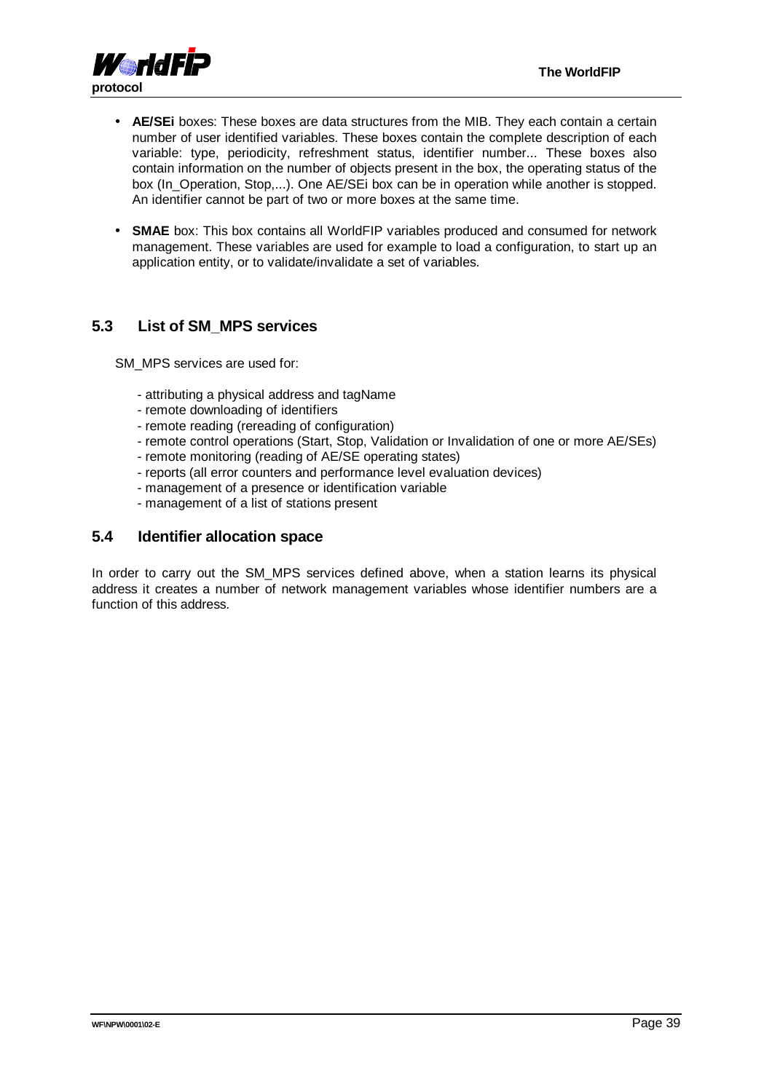

- **AE/SEi** boxes: These boxes are data structures from the MIB. They each contain a certain number of user identified variables. These boxes contain the complete description of each variable: type, periodicity, refreshment status, identifier number... These boxes also contain information on the number of objects present in the box, the operating status of the box (In\_Operation, Stop,...). One AE/SEi box can be in operation while another is stopped. An identifier cannot be part of two or more boxes at the same time.
- **SMAE** box: This box contains all WorldFIP variables produced and consumed for network management. These variables are used for example to load a configuration, to start up an application entity, or to validate/invalidate a set of variables.

### **5.3 List of SM\_MPS services**

SM\_MPS services are used for:

- attributing a physical address and tagName
- remote downloading of identifiers
- remote reading (rereading of configuration)
- remote control operations (Start, Stop, Validation or Invalidation of one or more AE/SEs)
- remote monitoring (reading of AE/SE operating states)
- reports (all error counters and performance level evaluation devices)
- management of a presence or identification variable
- management of a list of stations present

### **5.4 Identifier allocation space**

In order to carry out the SM\_MPS services defined above, when a station learns its physical address it creates a number of network management variables whose identifier numbers are a function of this address.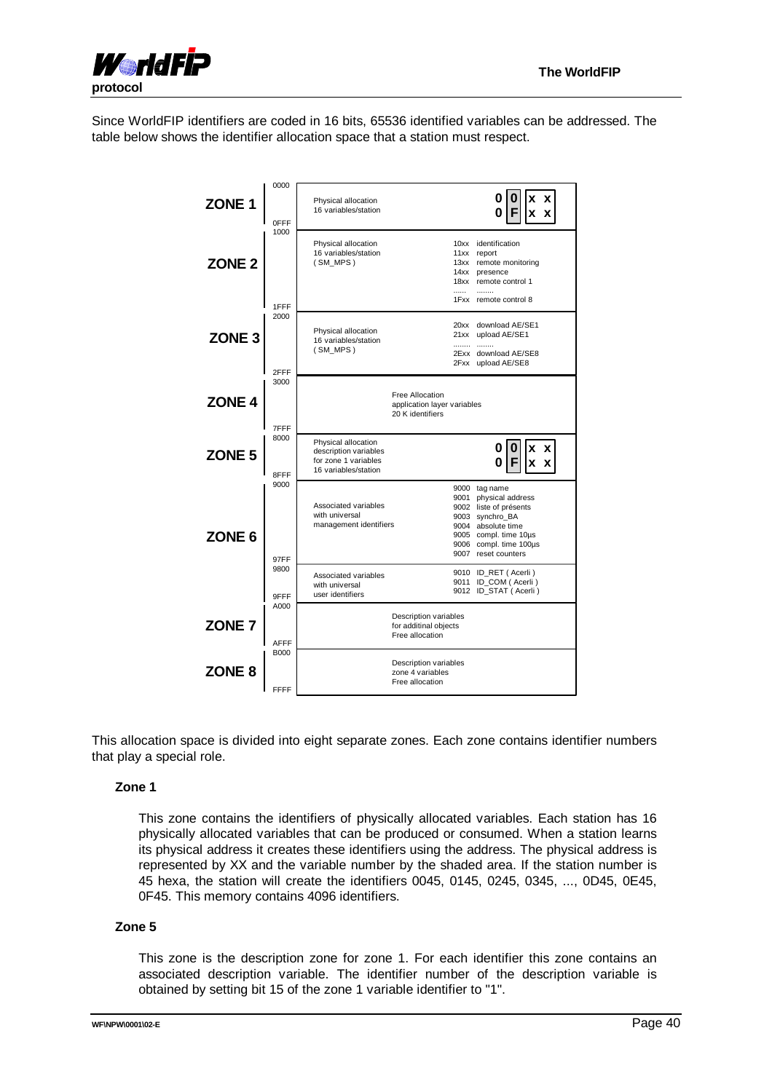

Since WorldFIP identifiers are coded in 16 bits, 65536 identified variables can be addressed. The table below shows the identifier allocation space that a station must respect.



This allocation space is divided into eight separate zones. Each zone contains identifier numbers that play a special role.

#### **Zone 1**

This zone contains the identifiers of physically allocated variables. Each station has 16 physically allocated variables that can be produced or consumed. When a station learns its physical address it creates these identifiers using the address. The physical address is represented by XX and the variable number by the shaded area. If the station number is 45 hexa, the station will create the identifiers 0045, 0145, 0245, 0345, ..., 0D45, 0E45, 0F45. This memory contains 4096 identifiers.

#### **Zone 5**

This zone is the description zone for zone 1. For each identifier this zone contains an associated description variable. The identifier number of the description variable is obtained by setting bit 15 of the zone 1 variable identifier to "1".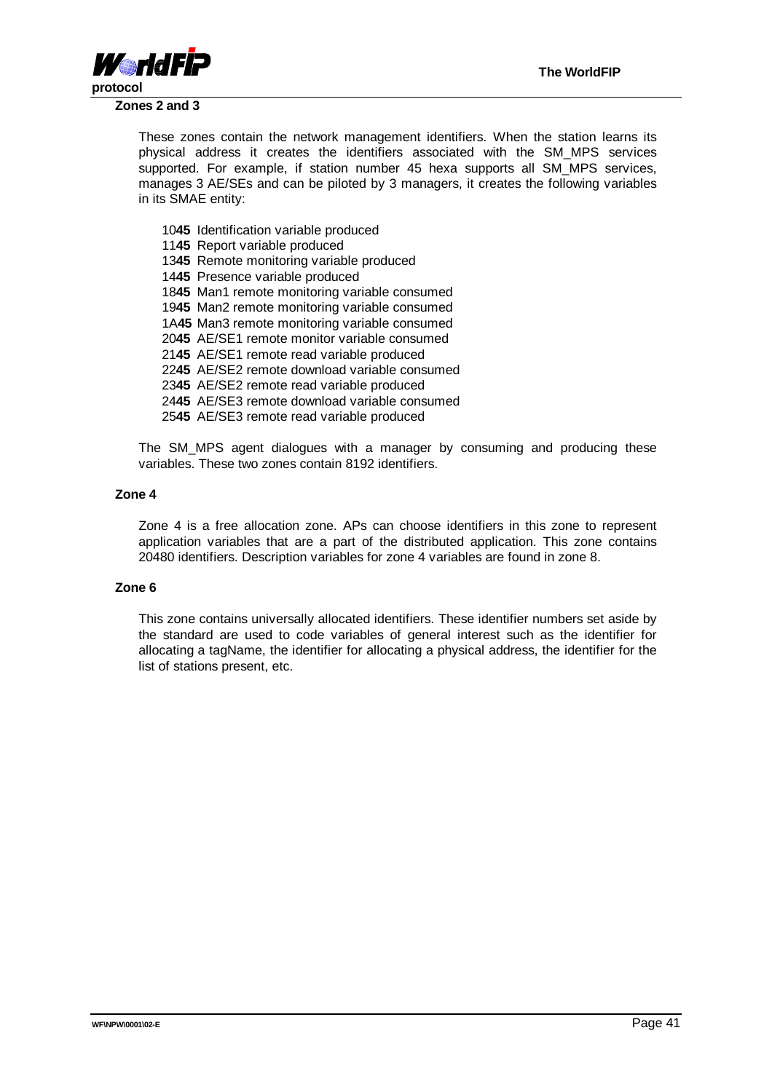

#### **Zones 2 and 3**

These zones contain the network management identifiers. When the station learns its physical address it creates the identifiers associated with the SM\_MPS services supported. For example, if station number 45 hexa supports all SM\_MPS services, manages 3 AE/SEs and can be piloted by 3 managers, it creates the following variables in its SMAE entity:

**45** Identification variable produced **45** Report variable produced **45** Remote monitoring variable produced **45** Presence variable produced **45** Man1 remote monitoring variable consumed **45** Man2 remote monitoring variable consumed 1A**45** Man3 remote monitoring variable consumed **45** AE/SE1 remote monitor variable consumed **45** AE/SE1 remote read variable produced **45** AE/SE2 remote download variable consumed **45** AE/SE2 remote read variable produced **45** AE/SE3 remote download variable consumed **45** AE/SE3 remote read variable produced

The SM MPS agent dialogues with a manager by consuming and producing these variables. These two zones contain 8192 identifiers.

#### **Zone 4**

Zone 4 is a free allocation zone. APs can choose identifiers in this zone to represent application variables that are a part of the distributed application. This zone contains 20480 identifiers. Description variables for zone 4 variables are found in zone 8.

#### **Zone 6**

This zone contains universally allocated identifiers. These identifier numbers set aside by the standard are used to code variables of general interest such as the identifier for allocating a tagName, the identifier for allocating a physical address, the identifier for the list of stations present, etc.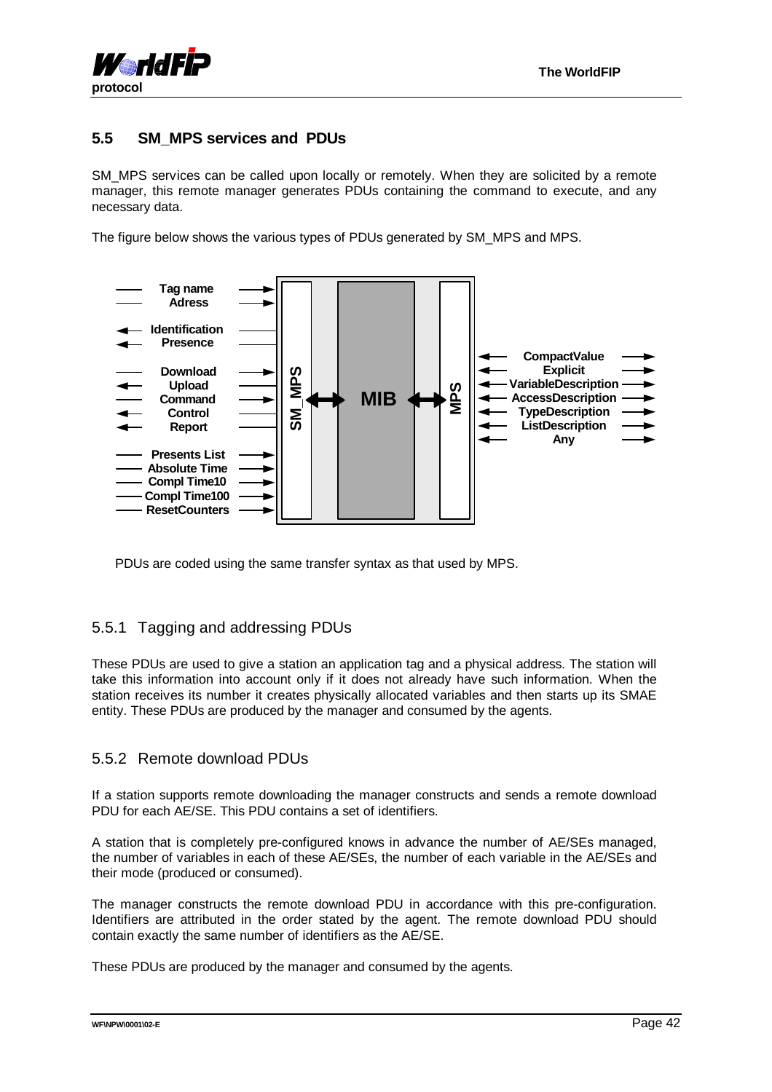

### **5.5 SM\_MPS services and PDUs**

SM\_MPS services can be called upon locally or remotely. When they are solicited by a remote manager, this remote manager generates PDUs containing the command to execute, and any necessary data.

The figure below shows the various types of PDUs generated by SM\_MPS and MPS.



PDUs are coded using the same transfer syntax as that used by MPS.

### 5.5.1 Tagging and addressing PDUs

These PDUs are used to give a station an application tag and a physical address. The station will take this information into account only if it does not already have such information. When the station receives its number it creates physically allocated variables and then starts up its SMAE entity. These PDUs are produced by the manager and consumed by the agents.

### 5.5.2 Remote download PDUs

If a station supports remote downloading the manager constructs and sends a remote download PDU for each AE/SE. This PDU contains a set of identifiers.

A station that is completely pre-configured knows in advance the number of AE/SEs managed, the number of variables in each of these AE/SEs, the number of each variable in the AE/SEs and their mode (produced or consumed).

The manager constructs the remote download PDU in accordance with this pre-configuration. Identifiers are attributed in the order stated by the agent. The remote download PDU should contain exactly the same number of identifiers as the AE/SE.

These PDUs are produced by the manager and consumed by the agents.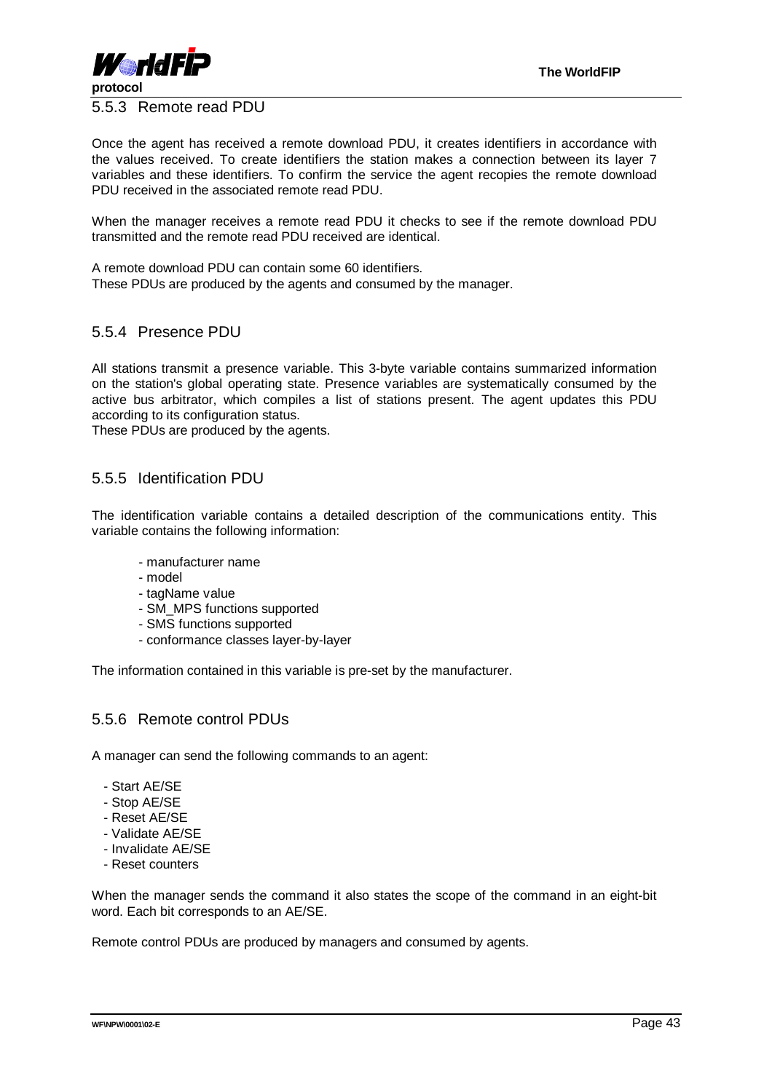

**protocol**

#### 5.5.3 Remote read PDU

Once the agent has received a remote download PDU, it creates identifiers in accordance with the values received. To create identifiers the station makes a connection between its layer 7 variables and these identifiers. To confirm the service the agent recopies the remote download PDU received in the associated remote read PDU.

When the manager receives a remote read PDU it checks to see if the remote download PDU transmitted and the remote read PDU received are identical.

A remote download PDU can contain some 60 identifiers. These PDUs are produced by the agents and consumed by the manager.

### 5.5.4 Presence PDU

All stations transmit a presence variable. This 3-byte variable contains summarized information on the station's global operating state. Presence variables are systematically consumed by the active bus arbitrator, which compiles a list of stations present. The agent updates this PDU according to its configuration status.

These PDUs are produced by the agents.

### 5.5.5 Identification PDU

The identification variable contains a detailed description of the communications entity. This variable contains the following information:

- manufacturer name
- model
- tagName value
- SM\_MPS functions supported
- SMS functions supported
- conformance classes layer-by-layer

The information contained in this variable is pre-set by the manufacturer.

#### 5.5.6 Remote control PDUs

A manager can send the following commands to an agent:

- Start AE/SE
- Stop AE/SE
- Reset AE/SE
- Validate AE/SE
- Invalidate AE/SE
- Reset counters

When the manager sends the command it also states the scope of the command in an eight-bit word. Each bit corresponds to an AE/SE.

Remote control PDUs are produced by managers and consumed by agents.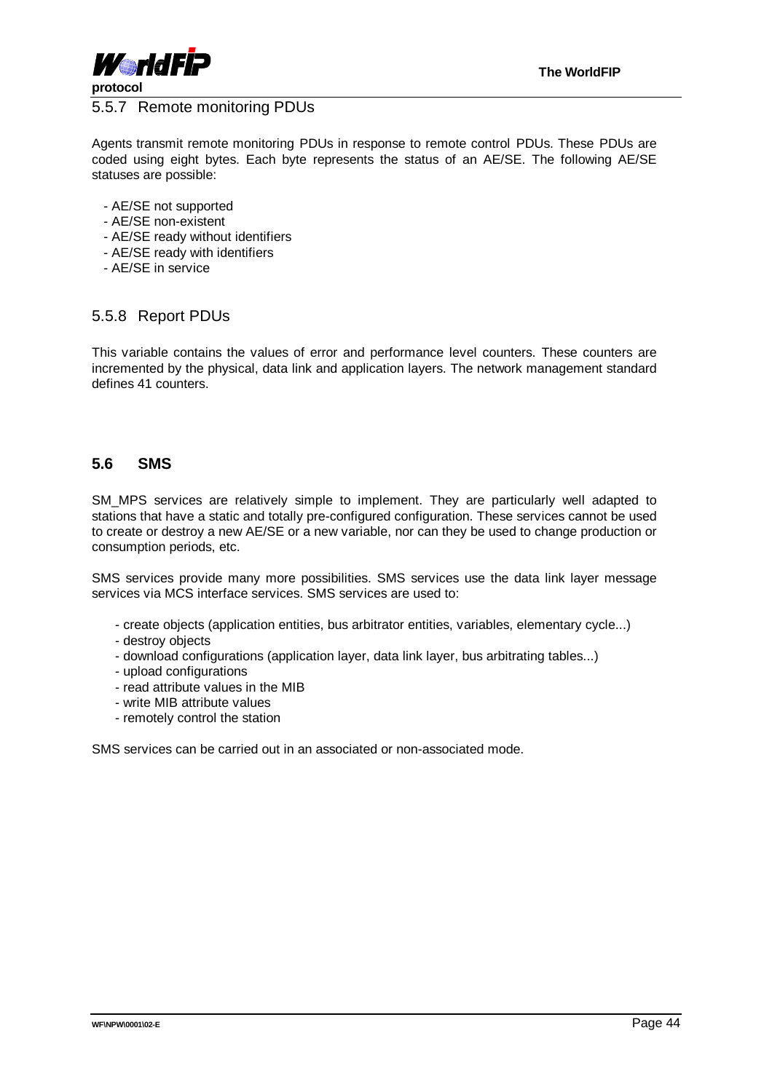

### 5.5.7 Remote monitoring PDUs

Agents transmit remote monitoring PDUs in response to remote control PDUs. These PDUs are coded using eight bytes. Each byte represents the status of an AE/SE. The following AE/SE statuses are possible:

- AE/SE not supported
- AE/SE non-existent
- AE/SE ready without identifiers
- AE/SE ready with identifiers
- AE/SE in service

### 5.5.8 Report PDUs

This variable contains the values of error and performance level counters. These counters are incremented by the physical, data link and application layers. The network management standard defines 41 counters.

### **5.6 SMS**

SM MPS services are relatively simple to implement. They are particularly well adapted to stations that have a static and totally pre-configured configuration. These services cannot be used to create or destroy a new AE/SE or a new variable, nor can they be used to change production or consumption periods, etc.

SMS services provide many more possibilities. SMS services use the data link layer message services via MCS interface services. SMS services are used to:

- create objects (application entities, bus arbitrator entities, variables, elementary cycle...)
- destroy objects
- download configurations (application layer, data link layer, bus arbitrating tables...)
- upload configurations
- read attribute values in the MIB
- write MIB attribute values
- remotely control the station

SMS services can be carried out in an associated or non-associated mode.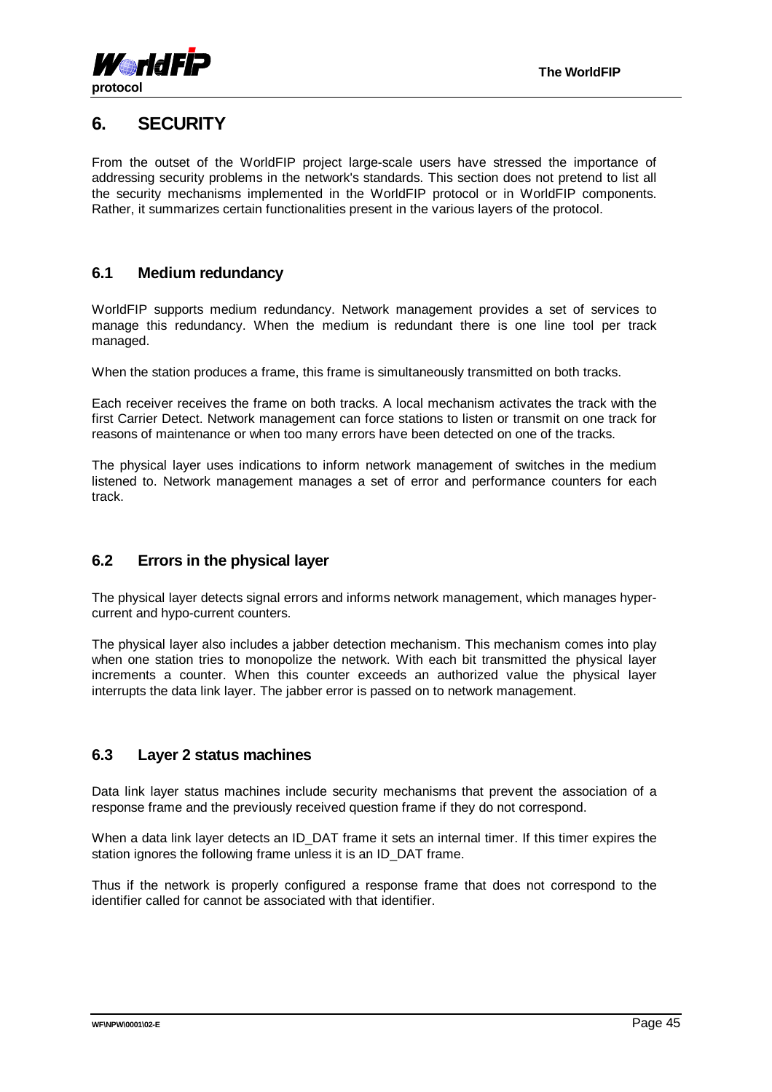

## **6. SECURITY**

From the outset of the WorldFIP project large-scale users have stressed the importance of addressing security problems in the network's standards. This section does not pretend to list all the security mechanisms implemented in the WorldFIP protocol or in WorldFIP components. Rather, it summarizes certain functionalities present in the various layers of the protocol.

### **6.1 Medium redundancy**

WorldFIP supports medium redundancy. Network management provides a set of services to manage this redundancy. When the medium is redundant there is one line tool per track managed.

When the station produces a frame, this frame is simultaneously transmitted on both tracks.

Each receiver receives the frame on both tracks. A local mechanism activates the track with the first Carrier Detect. Network management can force stations to listen or transmit on one track for reasons of maintenance or when too many errors have been detected on one of the tracks.

The physical layer uses indications to inform network management of switches in the medium listened to. Network management manages a set of error and performance counters for each track.

### **6.2 Errors in the physical layer**

The physical layer detects signal errors and informs network management, which manages hypercurrent and hypo-current counters.

The physical layer also includes a jabber detection mechanism. This mechanism comes into play when one station tries to monopolize the network. With each bit transmitted the physical layer increments a counter. When this counter exceeds an authorized value the physical layer interrupts the data link layer. The jabber error is passed on to network management.

### **6.3 Layer 2 status machines**

Data link layer status machines include security mechanisms that prevent the association of a response frame and the previously received question frame if they do not correspond.

When a data link layer detects an ID\_DAT frame it sets an internal timer. If this timer expires the station ignores the following frame unless it is an ID\_DAT frame.

Thus if the network is properly configured a response frame that does not correspond to the identifier called for cannot be associated with that identifier.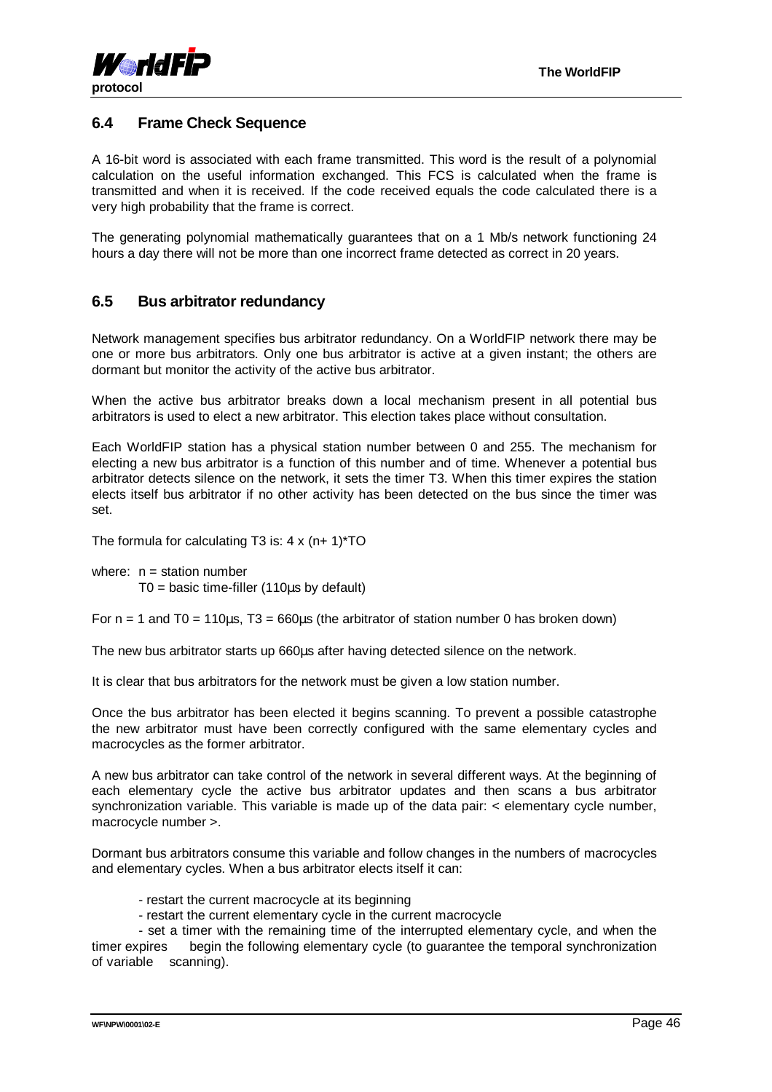### **6.4 Frame Check Sequence**

A 16-bit word is associated with each frame transmitted. This word is the result of a polynomial calculation on the useful information exchanged. This FCS is calculated when the frame is transmitted and when it is received. If the code received equals the code calculated there is a very high probability that the frame is correct.

The generating polynomial mathematically guarantees that on a 1 Mb/s network functioning 24 hours a day there will not be more than one incorrect frame detected as correct in 20 years.

### **6.5 Bus arbitrator redundancy**

Network management specifies bus arbitrator redundancy. On a WorldFIP network there may be one or more bus arbitrators. Only one bus arbitrator is active at a given instant; the others are dormant but monitor the activity of the active bus arbitrator.

When the active bus arbitrator breaks down a local mechanism present in all potential bus arbitrators is used to elect a new arbitrator. This election takes place without consultation.

Each WorldFIP station has a physical station number between 0 and 255. The mechanism for electing a new bus arbitrator is a function of this number and of time. Whenever a potential bus arbitrator detects silence on the network, it sets the timer T3. When this timer expires the station elects itself bus arbitrator if no other activity has been detected on the bus since the timer was set.

The formula for calculating T3 is:  $4 \times (n+1) \times 70$ 

where:  $n =$  station number T0 = basic time-filler (110 $\mu$ s by default)

For  $n = 1$  and T0 = 110 $\mu$ s, T3 = 660 $\mu$ s (the arbitrator of station number 0 has broken down)

The new bus arbitrator starts up 660μs after having detected silence on the network.

It is clear that bus arbitrators for the network must be given a low station number.

Once the bus arbitrator has been elected it begins scanning. To prevent a possible catastrophe the new arbitrator must have been correctly configured with the same elementary cycles and macrocycles as the former arbitrator.

A new bus arbitrator can take control of the network in several different ways. At the beginning of each elementary cycle the active bus arbitrator updates and then scans a bus arbitrator synchronization variable. This variable is made up of the data pair: < elementary cycle number, macrocycle number >.

Dormant bus arbitrators consume this variable and follow changes in the numbers of macrocycles and elementary cycles. When a bus arbitrator elects itself it can:

- restart the current macrocycle at its beginning
- restart the current elementary cycle in the current macrocycle

- set a timer with the remaining time of the interrupted elementary cycle, and when the timer expires begin the following elementary cycle (to guarantee the temporal synchronization of variable scanning).